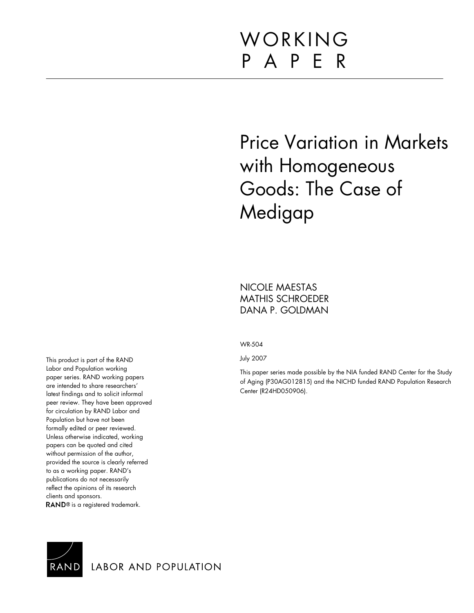# WORKING P A P E R

# Price Variation in Markets with Homogeneous Goods: The Case of Medigap

NICOLE MAESTAS MATHIS SCHROEDER DANA P. GOLDMAN

WR-504

July 2007

This paper series made possible by the NIA funded RAND Center for the Study of Aging (P30AG012815) and the NICHD funded RAND Population Research Center (R24HD050906).

This product is part of the RAND Labor and Population working paper series. RAND working papers are intended to share researchers' latest findings and to solicit informal peer review. They have been approved for circulation by RAND Labor and Population but have not been formally edited or peer reviewed. Unless otherwise indicated, working papers can be quoted and cited without permission of the author, provided the source is clearly referred to as a working paper. RAND's publications do not necessarily reflect the opinions of its research clients and sponsors. RAND<sup>®</sup> is a registered trademark.



LABOR AND POPULATION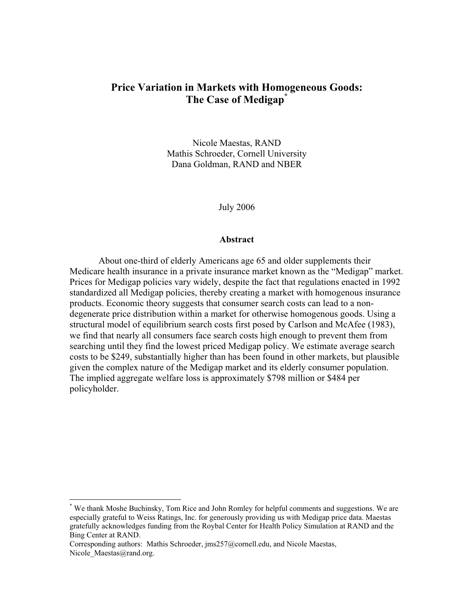# **Price Variation in Markets with Homogeneous Goods: The Case of Medigap\***

Nicole Maestas, RAND Mathis Schroeder, Cornell University Dana Goldman, RAND and NBER

July 2006

#### **Abstract**

About one-third of elderly Americans age 65 and older supplements their Medicare health insurance in a private insurance market known as the "Medigap" market. Prices for Medigap policies vary widely, despite the fact that regulations enacted in 1992 standardized all Medigap policies, thereby creating a market with homogenous insurance products. Economic theory suggests that consumer search costs can lead to a nondegenerate price distribution within a market for otherwise homogenous goods. Using a structural model of equilibrium search costs first posed by Carlson and McAfee (1983), we find that nearly all consumers face search costs high enough to prevent them from searching until they find the lowest priced Medigap policy. We estimate average search costs to be \$249, substantially higher than has been found in other markets, but plausible given the complex nature of the Medigap market and its elderly consumer population. The implied aggregate welfare loss is approximately \$798 million or \$484 per policyholder.

<sup>\*</sup> We thank Moshe Buchinsky, Tom Rice and John Romley for helpful comments and suggestions. We are especially grateful to Weiss Ratings, Inc. for generously providing us with Medigap price data. Maestas gratefully acknowledges funding from the Roybal Center for Health Policy Simulation at RAND and the Bing Center at RAND.

Corresponding authors: Mathis Schroeder, [jms257@cornell.edu](mailto:jms257@cornell.edu), and Nicole Maestas, Nicole Maestas@rand.org.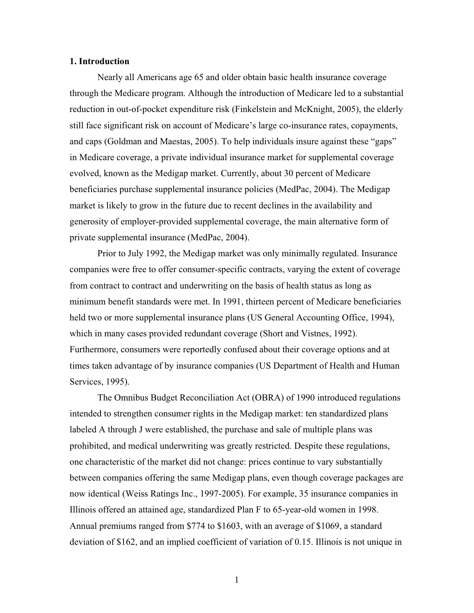## **1. Introduction**

Nearly all Americans age 65 and older obtain basic health insurance coverage through the Medicare program. Although the introduction of Medicare led to a substantial reduction in out-of-pocket expenditure risk (Finkelstein and McKnight, 2005), the elderly still face significant risk on account of Medicare's large co-insurance rates, copayments, and caps (Goldman and Maestas, 2005). To help individuals insure against these "gaps" in Medicare coverage, a private individual insurance market for supplemental coverage evolved, known as the Medigap market. Currently, about 30 percent of Medicare beneficiaries purchase supplemental insurance policies (MedPac, 2004). The Medigap market is likely to grow in the future due to recent declines in the availability and generosity of employer-provided supplemental coverage, the main alternative form of private supplemental insurance (MedPac, 2004).

Prior to July 1992, the Medigap market was only minimally regulated. Insurance companies were free to offer consumer-specific contracts, varying the extent of coverage from contract to contract and underwriting on the basis of health status as long as minimum benefit standards were met. In 1991, thirteen percent of Medicare beneficiaries held two or more supplemental insurance plans (US General Accounting Office, 1994), which in many cases provided redundant coverage (Short and Vistnes, 1992). Furthermore, consumers were reportedly confused about their coverage options and at times taken advantage of by insurance companies (US Department of Health and Human Services, 1995).

The Omnibus Budget Reconciliation Act (OBRA) of 1990 introduced regulations intended to strengthen consumer rights in the Medigap market: ten standardized plans labeled A through J were established, the purchase and sale of multiple plans was prohibited, and medical underwriting was greatly restricted. Despite these regulations, one characteristic of the market did not change: prices continue to vary substantially between companies offering the same Medigap plans, even though coverage packages are now identical (Weiss Ratings Inc., 1997-2005). For example, 35 insurance companies in Illinois offered an attained age, standardized Plan F to 65-year-old women in 1998. Annual premiums ranged from \$774 to \$1603, with an average of \$1069, a standard deviation of \$162, and an implied coefficient of variation of 0.15. Illinois is not unique in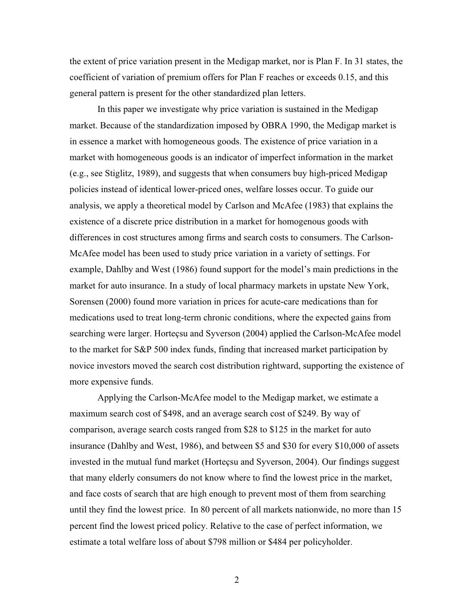the extent of price variation present in the Medigap market, nor is Plan F. In 31 states, the coefficient of variation of premium offers for Plan F reaches or exceeds 0.15, and this general pattern is present for the other standardized plan letters.

In this paper we investigate why price variation is sustained in the Medigap market. Because of the standardization imposed by OBRA 1990, the Medigap market is in essence a market with homogeneous goods. The existence of price variation in a market with homogeneous goods is an indicator of imperfect information in the market (e.g., see Stiglitz, 1989), and suggests that when consumers buy high-priced Medigap policies instead of identical lower-priced ones, welfare losses occur. To guide our analysis, we apply a theoretical model by Carlson and McAfee (1983) that explains the existence of a discrete price distribution in a market for homogenous goods with differences in cost structures among firms and search costs to consumers. The Carlson-McAfee model has been used to study price variation in a variety of settings. For example, Dahlby and West (1986) found support for the model's main predictions in the market for auto insurance. In a study of local pharmacy markets in upstate New York, Sorensen (2000) found more variation in prices for acute-care medications than for medications used to treat long-term chronic conditions, where the expected gains from searching were larger. Horteçsu and Syverson (2004) applied the Carlson-McAfee model to the market for S&P 500 index funds, finding that increased market participation by novice investors moved the search cost distribution rightward, supporting the existence of more expensive funds.

Applying the Carlson-McAfee model to the Medigap market, we estimate a maximum search cost of \$498, and an average search cost of \$249. By way of comparison, average search costs ranged from \$28 to \$125 in the market for auto insurance (Dahlby and West, 1986), and between \$5 and \$30 for every \$10,000 of assets invested in the mutual fund market (Horteçsu and Syverson, 2004). Our findings suggest that many elderly consumers do not know where to find the lowest price in the market, and face costs of search that are high enough to prevent most of them from searching until they find the lowest price. In 80 percent of all markets nationwide, no more than 15 percent find the lowest priced policy. Relative to the case of perfect information, we estimate a total welfare loss of about \$798 million or \$484 per policyholder.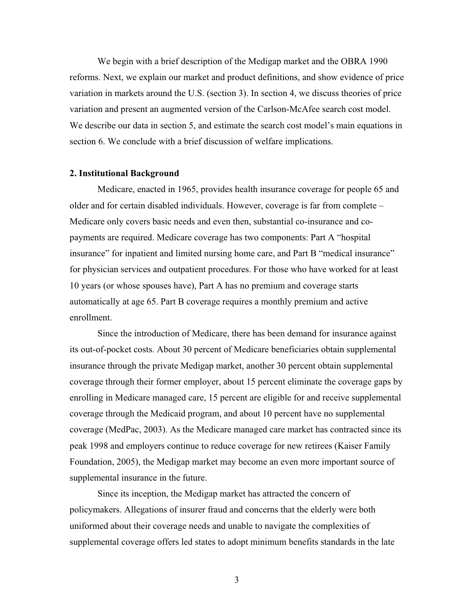We begin with a brief description of the Medigap market and the OBRA 1990 reforms. Next, we explain our market and product definitions, and show evidence of price variation in markets around the U.S. (section 3). In section 4, we discuss theories of price variation and present an augmented version of the Carlson-McAfee search cost model. We describe our data in section 5, and estimate the search cost model's main equations in section 6. We conclude with a brief discussion of welfare implications.

#### **2. Institutional Background**

Medicare, enacted in 1965, provides health insurance coverage for people 65 and older and for certain disabled individuals. However, coverage is far from complete – Medicare only covers basic needs and even then, substantial co-insurance and copayments are required. Medicare coverage has two components: Part A "hospital insurance" for inpatient and limited nursing home care, and Part B "medical insurance" for physician services and outpatient procedures. For those who have worked for at least 10 years (or whose spouses have), Part A has no premium and coverage starts automatically at age 65. Part B coverage requires a monthly premium and active enrollment.

Since the introduction of Medicare, there has been demand for insurance against its out-of-pocket costs. About 30 percent of Medicare beneficiaries obtain supplemental insurance through the private Medigap market, another 30 percent obtain supplemental coverage through their former employer, about 15 percent eliminate the coverage gaps by enrolling in Medicare managed care, 15 percent are eligible for and receive supplemental coverage through the Medicaid program, and about 10 percent have no supplemental coverage (MedPac, 2003). As the Medicare managed care market has contracted since its peak 1998 and employers continue to reduce coverage for new retirees (Kaiser Family Foundation, 2005), the Medigap market may become an even more important source of supplemental insurance in the future.

Since its inception, the Medigap market has attracted the concern of policymakers. Allegations of insurer fraud and concerns that the elderly were both uniformed about their coverage needs and unable to navigate the complexities of supplemental coverage offers led states to adopt minimum benefits standards in the late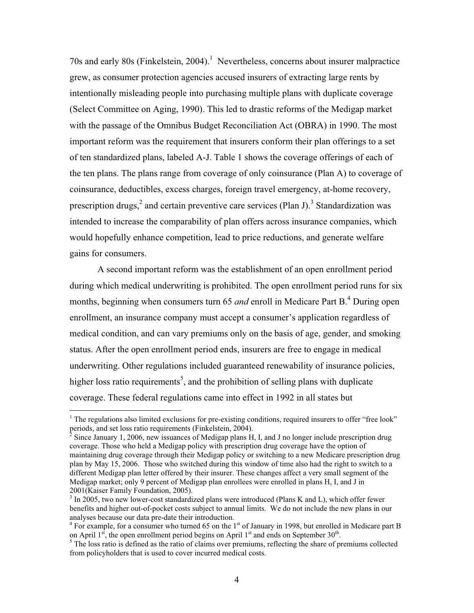70s and early 80s (Finkelstein, 2004).<sup>1</sup> Nevertheless, concerns about insurer malpractice grew, as consumer protection agencies accused insurers of extracting large rents by intentionally misleading people into purchasing multiple plans with duplicate coverage (Select Committee on Aging, 1990). This led to drastic reforms of the Medigap market with the passage of the Omnibus Budget Reconciliation Act (OBRA) in 1990. The most important reform was the requirement that insurers conform their plan offerings to a set of ten standardized plans, labeled A-J. Table 1 shows the coverage offerings of each of the ten plans. The plans range from coverage of only coinsurance (Plan A) to coverage of coinsurance, deductibles, excess charges, foreign travel emergency, at-home recovery, prescription drugs,<sup>2</sup> and certain preventive care services (Plan J).<sup>3</sup> Standardization was intended to increase the comparability of plan offers across insurance companies, which would hopefully enhance competition, lead to price reductions, and generate welfare gains for consumers.

A second important reform was the establishment of an open enrollment period during which medical underwriting is prohibited. The open enrollment period runs for six months, beginning when consumers turn 65 *and* enroll in Medicare Part B.<sup>4</sup> During open enrollment, an insurance company must accept a consumer's application regardless of medical condition, and can vary premiums only on the basis of age, gender, and smoking status. After the open enrollment period ends, insurers are free to engage in medical underwriting. Other regulations included guaranteed renewability of insurance policies, higher loss ratio requirements<sup>5</sup>, and the prohibition of selling plans with duplicate coverage. These federal regulations came into effect in 1992 in all states but

<sup>&</sup>lt;sup>1</sup> The regulations also limited exclusions for pre-existing conditions, required insurers to offer "free look" periods, and set loss ratio requirements (Finkelstein, 2004). 2

<sup>&</sup>lt;sup>2</sup> Since January 1, 2006, new issuances of Medigap plans H, I, and J no longer include prescription drug coverage. Those who held a Medigap policy with prescription drug coverage have the option of maintaining drug coverage through their Medigap policy or switching to a new Medicare prescription drug plan by May 15, 2006. Those who switched during this window of time also had the right to switch to a different Medigap plan letter offered by their insurer. These changes affect a very small segment of the Medigap market; only 9 percent of Medigap plan enrollees were enrolled in plans H, I, and J in 2001(Kaiser Family Foundation, 2005). 3

 $3$  In 2005, two new lower-cost standardized plans were introduced (Plans K and L), which offer fewer benefits and higher out-of-pocket costs subject to annual limits. We do not include the new plans in our analyses because our data pre-date their introduction.

 $4$  For example, for a consumer who turned 65 on the 1st of January in 1998, but enrolled in Medicare part B on April  $1<sup>st</sup>$ , the open enrollment period begins on April  $1<sup>st</sup>$  and ends on September 30<sup>th</sup>.

<sup>&</sup>lt;sup>5</sup> The loss ratio is defined as the ratio of claims over premiums, reflecting the share of premiums collected from policyholders that is used to cover incurred medical costs.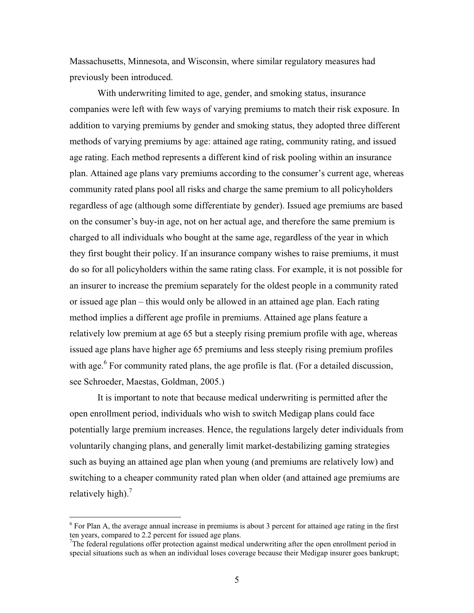Massachusetts, Minnesota, and Wisconsin, where similar regulatory measures had previously been introduced.

With underwriting limited to age, gender, and smoking status, insurance companies were left with few ways of varying premiums to match their risk exposure. In addition to varying premiums by gender and smoking status, they adopted three different methods of varying premiums by age: attained age rating, community rating, and issued age rating. Each method represents a different kind of risk pooling within an insurance plan. Attained age plans vary premiums according to the consumer's current age, whereas community rated plans pool all risks and charge the same premium to all policyholders regardless of age (although some differentiate by gender). Issued age premiums are based on the consumer's buy-in age, not on her actual age, and therefore the same premium is charged to all individuals who bought at the same age, regardless of the year in which they first bought their policy. If an insurance company wishes to raise premiums, it must do so for all policyholders within the same rating class. For example, it is not possible for an insurer to increase the premium separately for the oldest people in a community rated or issued age plan – this would only be allowed in an attained age plan. Each rating method implies a different age profile in premiums. Attained age plans feature a relatively low premium at age 65 but a steeply rising premium profile with age, whereas issued age plans have higher age 65 premiums and less steeply rising premium profiles with age.<sup>6</sup> For community rated plans, the age profile is flat. (For a detailed discussion, see Schroeder, Maestas, Goldman, 2005.)

It is important to note that because medical underwriting is permitted after the open enrollment period, individuals who wish to switch Medigap plans could face potentially large premium increases. Hence, the regulations largely deter individuals from voluntarily changing plans, and generally limit market-destabilizing gaming strategies such as buying an attained age plan when young (and premiums are relatively low) and switching to a cheaper community rated plan when older (and attained age premiums are relatively high). $<sup>7</sup>$ </sup>

<sup>&</sup>lt;sup>6</sup> For Plan A, the average annual increase in premiums is about 3 percent for attained age rating in the first ten years, compared to 2.2 percent for issued age plans.

<sup>&</sup>lt;sup>7</sup>The federal regulations offer protection against medical underwriting after the open enrollment period in special situations such as when an individual loses coverage because their Medigap insurer goes bankrupt;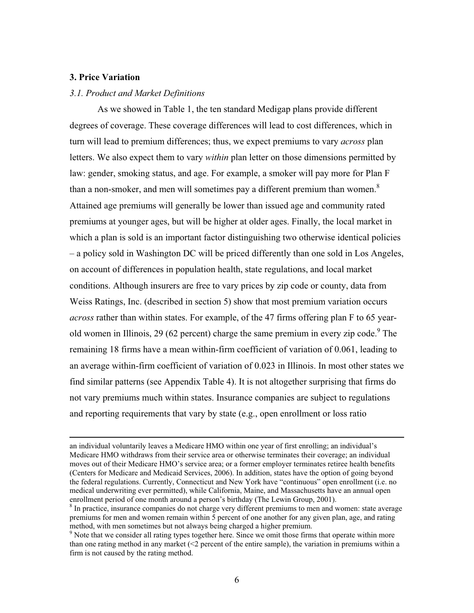## **3. Price Variation**

#### *3.1. Product and Market Definitions*

As we showed in Table 1, the ten standard Medigap plans provide different degrees of coverage. These coverage differences will lead to cost differences, which in turn will lead to premium differences; thus, we expect premiums to vary *across* plan letters. We also expect them to vary *within* plan letter on those dimensions permitted by law: gender, smoking status, and age. For example, a smoker will pay more for Plan F than a non-smoker, and men will sometimes pay a different premium than women.<sup>8</sup> Attained age premiums will generally be lower than issued age and community rated premiums at younger ages, but will be higher at older ages. Finally, the local market in which a plan is sold is an important factor distinguishing two otherwise identical policies – a policy sold in Washington DC will be priced differently than one sold in Los Angeles, on account of differences in population health, state regulations, and local market conditions. Although insurers are free to vary prices by zip code or county, data from Weiss Ratings, Inc. (described in section 5) show that most premium variation occurs *across* rather than within states. For example, of the 47 firms offering plan F to 65 yearold women in Illinois, 29 (62 percent) charge the same premium in every zip code.<sup>9</sup> The remaining 18 firms have a mean within-firm coefficient of variation of 0.061, leading to an average within-firm coefficient of variation of 0.023 in Illinois. In most other states we find similar patterns (see Appendix Table 4). It is not altogether surprising that firms do not vary premiums much within states. Insurance companies are subject to regulations and reporting requirements that vary by state (e.g., open enrollment or loss ratio

an individual voluntarily leaves a Medicare HMO within one year of first enrolling; an individual's Medicare HMO withdraws from their service area or otherwise terminates their coverage; an individual moves out of their Medicare HMO's service area; or a former employer terminates retiree health benefits (Centers for Medicare and Medicaid Services, 2006). In addition, states have the option of going beyond the federal regulations. Currently, Connecticut and New York have "continuous" open enrollment (i.e. no medical underwriting ever permitted), while California, Maine, and Massachusetts have an annual open enrollment period of one month around a person's birthday (The Lewin Group, 2001).

<sup>&</sup>lt;sup>8</sup> In practice, insurance companies do not charge very different premiums to men and women: state average premiums for men and women remain within 5 percent of one another for any given plan, age, and rating method, with men sometimes but not always being charged a higher premium. 9

<sup>&</sup>lt;sup>9</sup> Note that we consider all rating types together here. Since we omit those firms that operate within more than one rating method in any market (<2 percent of the entire sample), the variation in premiums within a firm is not caused by the rating method.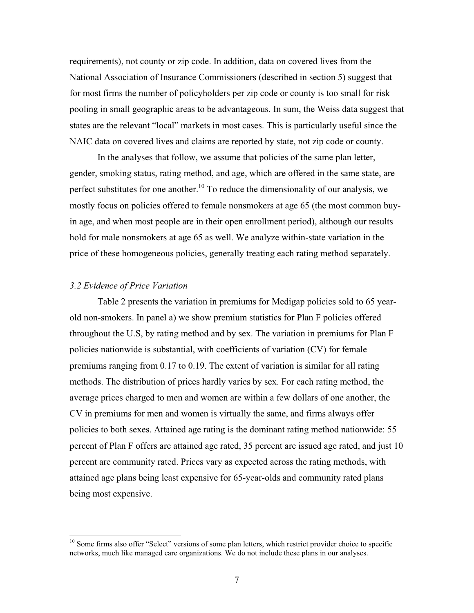requirements), not county or zip code. In addition, data on covered lives from the National Association of Insurance Commissioners (described in section 5) suggest that for most firms the number of policyholders per zip code or county is too small for risk pooling in small geographic areas to be advantageous. In sum, the Weiss data suggest that states are the relevant "local" markets in most cases. This is particularly useful since the NAIC data on covered lives and claims are reported by state, not zip code or county.

In the analyses that follow, we assume that policies of the same plan letter, gender, smoking status, rating method, and age, which are offered in the same state, are perfect substitutes for one another.<sup>10</sup> To reduce the dimensionality of our analysis, we mostly focus on policies offered to female nonsmokers at age 65 (the most common buyin age, and when most people are in their open enrollment period), although our results hold for male nonsmokers at age 65 as well. We analyze within-state variation in the price of these homogeneous policies, generally treating each rating method separately.

### *3.2 Evidence of Price Variation*

Table 2 presents the variation in premiums for Medigap policies sold to 65 yearold non-smokers. In panel a) we show premium statistics for Plan F policies offered throughout the U.S, by rating method and by sex. The variation in premiums for Plan F policies nationwide is substantial, with coefficients of variation (CV) for female premiums ranging from 0.17 to 0.19. The extent of variation is similar for all rating methods. The distribution of prices hardly varies by sex. For each rating method, the average prices charged to men and women are within a few dollars of one another, the CV in premiums for men and women is virtually the same, and firms always offer policies to both sexes. Attained age rating is the dominant rating method nationwide: 55 percent of Plan F offers are attained age rated, 35 percent are issued age rated, and just 10 percent are community rated. Prices vary as expected across the rating methods, with attained age plans being least expensive for 65-year-olds and community rated plans being most expensive.

<sup>&</sup>lt;sup>10</sup> Some firms also offer "Select" versions of some plan letters, which restrict provider choice to specific networks, much like managed care organizations. We do not include these plans in our analyses.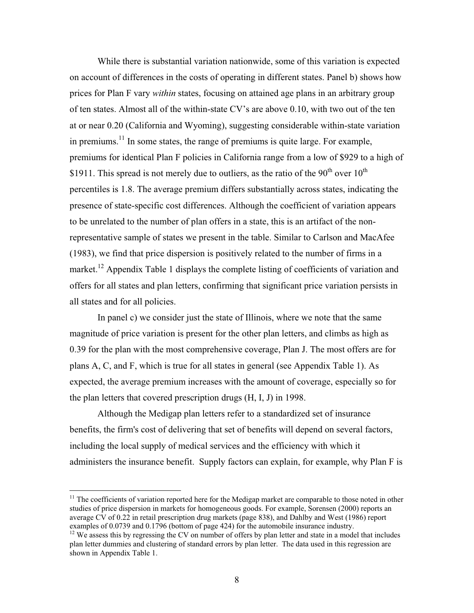While there is substantial variation nationwide, some of this variation is expected on account of differences in the costs of operating in different states. Panel b) shows how prices for Plan F vary *within* states, focusing on attained age plans in an arbitrary group of ten states. Almost all of the within-state CV's are above 0.10, with two out of the ten at or near 0.20 (California and Wyoming), suggesting considerable within-state variation in premiums.<sup>11</sup> In some states, the range of premiums is quite large. For example, premiums for identical Plan F policies in California range from a low of \$929 to a high of \$1911. This spread is not merely due to outliers, as the ratio of the  $90<sup>th</sup>$  over  $10<sup>th</sup>$ percentiles is 1.8. The average premium differs substantially across states, indicating the presence of state-specific cost differences. Although the coefficient of variation appears to be unrelated to the number of plan offers in a state, this is an artifact of the nonrepresentative sample of states we present in the table. Similar to Carlson and MacAfee (1983), we find that price dispersion is positively related to the number of firms in a market.<sup>12</sup> Appendix Table 1 displays the complete listing of coefficients of variation and offers for all states and plan letters, confirming that significant price variation persists in all states and for all policies.

In panel c) we consider just the state of Illinois, where we note that the same magnitude of price variation is present for the other plan letters, and climbs as high as 0.39 for the plan with the most comprehensive coverage, Plan J. The most offers are for plans A, C, and F, which is true for all states in general (see Appendix Table 1). As expected, the average premium increases with the amount of coverage, especially so for the plan letters that covered prescription drugs (H, I, J) in 1998.

Although the Medigap plan letters refer to a standardized set of insurance benefits, the firm's cost of delivering that set of benefits will depend on several factors, including the local supply of medical services and the efficiency with which it administers the insurance benefit. Supply factors can explain, for example, why Plan F is

<sup>&</sup>lt;sup>11</sup> The coefficients of variation reported here for the Medigap market are comparable to those noted in other studies of price dispersion in markets for homogeneous goods. For example, Sorensen (2000) reports an average CV of 0.22 in retail prescription drug markets (page 838), and Dahlby and West (1986) report examples of 0.0739 and 0.1796 (bottom of page 424) for the automobile insurance industry.

 $^{12}$  We assess this by regressing the CV on number of offers by plan letter and state in a model that includes plan letter dummies and clustering of standard errors by plan letter. The data used in this regression are shown in Appendix Table 1.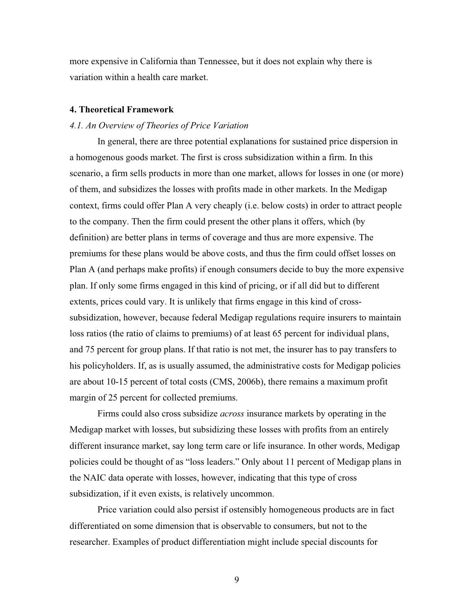more expensive in California than Tennessee, but it does not explain why there is variation within a health care market.

#### **4. Theoretical Framework**

#### *4.1. An Overview of Theories of Price Variation*

In general, there are three potential explanations for sustained price dispersion in a homogenous goods market. The first is cross subsidization within a firm. In this scenario, a firm sells products in more than one market, allows for losses in one (or more) of them, and subsidizes the losses with profits made in other markets. In the Medigap context, firms could offer Plan A very cheaply (i.e. below costs) in order to attract people to the company. Then the firm could present the other plans it offers, which (by definition) are better plans in terms of coverage and thus are more expensive. The premiums for these plans would be above costs, and thus the firm could offset losses on Plan A (and perhaps make profits) if enough consumers decide to buy the more expensive plan. If only some firms engaged in this kind of pricing, or if all did but to different extents, prices could vary. It is unlikely that firms engage in this kind of crosssubsidization, however, because federal Medigap regulations require insurers to maintain loss ratios (the ratio of claims to premiums) of at least 65 percent for individual plans, and 75 percent for group plans. If that ratio is not met, the insurer has to pay transfers to his policyholders. If, as is usually assumed, the administrative costs for Medigap policies are about 10-15 percent of total costs (CMS, 2006b), there remains a maximum profit margin of 25 percent for collected premiums.

Firms could also cross subsidize *across* insurance markets by operating in the Medigap market with losses, but subsidizing these losses with profits from an entirely different insurance market, say long term care or life insurance. In other words, Medigap policies could be thought of as "loss leaders." Only about 11 percent of Medigap plans in the NAIC data operate with losses, however, indicating that this type of cross subsidization, if it even exists, is relatively uncommon.

Price variation could also persist if ostensibly homogeneous products are in fact differentiated on some dimension that is observable to consumers, but not to the researcher. Examples of product differentiation might include special discounts for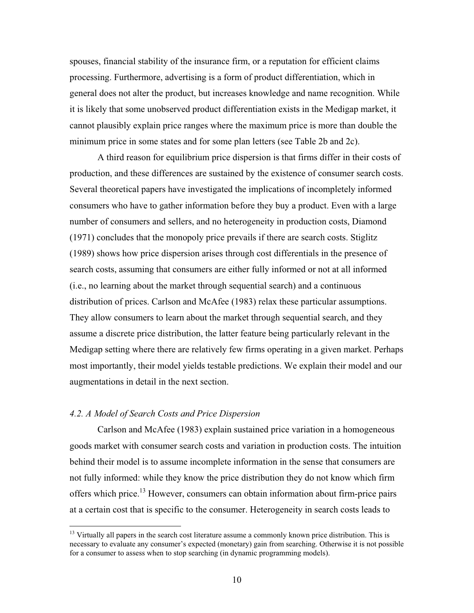spouses, financial stability of the insurance firm, or a reputation for efficient claims processing. Furthermore, advertising is a form of product differentiation, which in general does not alter the product, but increases knowledge and name recognition. While it is likely that some unobserved product differentiation exists in the Medigap market, it cannot plausibly explain price ranges where the maximum price is more than double the minimum price in some states and for some plan letters (see Table 2b and 2c).

A third reason for equilibrium price dispersion is that firms differ in their costs of production, and these differences are sustained by the existence of consumer search costs. Several theoretical papers have investigated the implications of incompletely informed consumers who have to gather information before they buy a product. Even with a large number of consumers and sellers, and no heterogeneity in production costs, Diamond (1971) concludes that the monopoly price prevails if there are search costs. Stiglitz (1989) shows how price dispersion arises through cost differentials in the presence of search costs, assuming that consumers are either fully informed or not at all informed (i.e., no learning about the market through sequential search) and a continuous distribution of prices. Carlson and McAfee (1983) relax these particular assumptions. They allow consumers to learn about the market through sequential search, and they assume a discrete price distribution, the latter feature being particularly relevant in the Medigap setting where there are relatively few firms operating in a given market. Perhaps most importantly, their model yields testable predictions. We explain their model and our augmentations in detail in the next section.

## *4.2. A Model of Search Costs and Price Dispersion*

Carlson and McAfee (1983) explain sustained price variation in a homogeneous goods market with consumer search costs and variation in production costs. The intuition behind their model is to assume incomplete information in the sense that consumers are not fully informed: while they know the price distribution they do not know which firm offers which price.13 However, consumers can obtain information about firm-price pairs at a certain cost that is specific to the consumer. Heterogeneity in search costs leads to

<sup>&</sup>lt;sup>13</sup> Virtually all papers in the search cost literature assume a commonly known price distribution. This is necessary to evaluate any consumer's expected (monetary) gain from searching. Otherwise it is not possible for a consumer to assess when to stop searching (in dynamic programming models).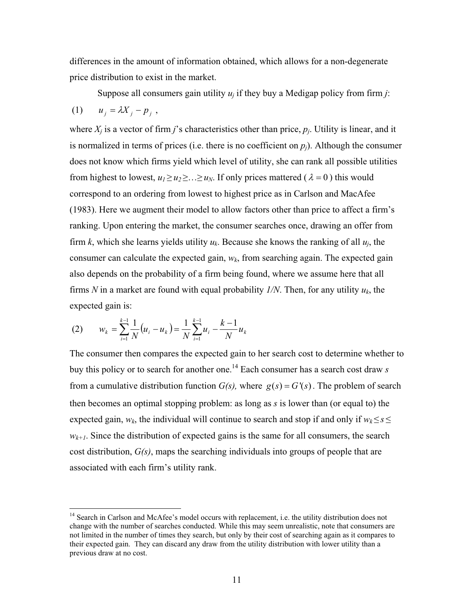differences in the amount of information obtained, which allows for a non-degenerate price distribution to exist in the market.

Suppose all consumers gain utility *uj* if they buy a Medigap policy from firm *j*:

$$
(1) \qquad u_j = \lambda X_j - p_j \ ,
$$

 $\overline{a}$ 

where  $X_i$  is a vector of firm *j*'s characteristics other than price,  $p_i$ . Utility is linear, and it is normalized in terms of prices (i.e. there is no coefficient on  $p<sub>i</sub>$ ). Although the consumer does not know which firms yield which level of utility, she can rank all possible utilities from highest to lowest,  $u_1 \ge u_2 \ge ... \ge u_N$ . If only prices mattered ( $\lambda = 0$ ) this would correspond to an ordering from lowest to highest price as in Carlson and MacAfee (1983). Here we augment their model to allow factors other than price to affect a firm's ranking. Upon entering the market, the consumer searches once, drawing an offer from firm *k*, which she learns yields utility  $u_k$ . Because she knows the ranking of all  $u_i$ , the consumer can calculate the expected gain,  $w_k$ , from searching again. The expected gain also depends on the probability of a firm being found, where we assume here that all firms *N* in a market are found with equal probability *1/N*. Then, for any utility *uk*, the expected gain is:

(2) 
$$
w_k = \sum_{i=1}^{k-1} \frac{1}{N} (u_i - u_k) = \frac{1}{N} \sum_{i=1}^{k-1} u_i - \frac{k-1}{N} u_k
$$

The consumer then compares the expected gain to her search cost to determine whether to buy this policy or to search for another one.14 Each consumer has a search cost draw *s* from a cumulative distribution function  $G(s)$ , where  $g(s) = G'(s)$ . The problem of search then becomes an optimal stopping problem: as long as *s* is lower than (or equal to) the expected gain,  $w_k$ , the individual will continue to search and stop if and only if  $w_k \leq s \leq$  $w_{k+1}$ . Since the distribution of expected gains is the same for all consumers, the search cost distribution, *G(s)*, maps the searching individuals into groups of people that are associated with each firm's utility rank.

<sup>&</sup>lt;sup>14</sup> Search in Carlson and McAfee's model occurs with replacement, i.e. the utility distribution does not change with the number of searches conducted. While this may seem unrealistic, note that consumers are not limited in the number of times they search, but only by their cost of searching again as it compares to their expected gain. They can discard any draw from the utility distribution with lower utility than a previous draw at no cost.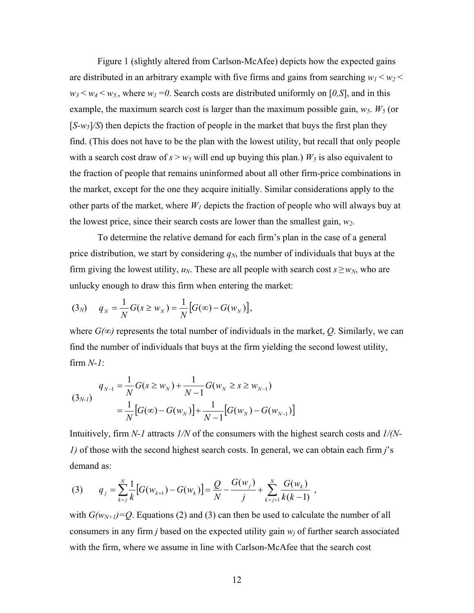Figure 1 (slightly altered from Carlson-McAfee) depicts how the expected gains are distributed in an arbitrary example with five firms and gains from searching  $w_1 < w_2 <$  $w_3 < w_4 < w_5$ , where  $w_1 = 0$ . Search costs are distributed uniformly on [0,S], and in this example, the maximum search cost is larger than the maximum possible gain,  $w_5$ .  $W_5$  (or  $[S-w<sub>5</sub>]/S$  then depicts the fraction of people in the market that buys the first plan they find. (This does not have to be the plan with the lowest utility, but recall that only people with a search cost draw of  $s > w_5$  will end up buying this plan.)  $W_5$  is also equivalent to the fraction of people that remains uninformed about all other firm-price combinations in the market, except for the one they acquire initially. Similar considerations apply to the other parts of the market, where  $W_l$  depicts the fraction of people who will always buy at the lowest price, since their search costs are lower than the smallest gain,  $w_2$ .

To determine the relative demand for each firm's plan in the case of a general price distribution, we start by considering  $q_N$ , the number of individuals that buys at the firm giving the lowest utility,  $u_N$ . These are all people with search cost  $s \geq w_N$ , who are unlucky enough to draw this firm when entering the market:

$$
(3_N) \t q_N = \frac{1}{N} G(s \ge w_N) = \frac{1}{N} [G(\infty) - G(w_N)],
$$

where  $G(\infty)$  represents the total number of individuals in the market, Q. Similarly, we can find the number of individuals that buys at the firm yielding the second lowest utility, firm *N-1*:

$$
(3_{N-1}) \quad q_{N-1} = \frac{1}{N} G(s \ge w_N) + \frac{1}{N-1} G(w_N \ge s \ge w_{N-1})
$$
\n
$$
= \frac{1}{N} [G(\infty) - G(w_N)] + \frac{1}{N-1} [G(w_N) - G(w_{N-1})]
$$

Intuitively, firm *N-1* attracts *1/N* of the consumers with the highest search costs and *1/(N-1)* of those with the second highest search costs. In general, we can obtain each firm *j*'s demand as:

(3) 
$$
q_j = \sum_{k=j}^{N} \frac{1}{k} \left[ G(w_{k+1}) - G(w_k) \right] = \frac{Q}{N} - \frac{G(w_j)}{j} + \sum_{k=j+1}^{N} \frac{G(w_k)}{k(k-1)},
$$

with  $G(w_{N+1})=Q$ . Equations (2) and (3) can then be used to calculate the number of all consumers in any firm  $j$  based on the expected utility gain  $w_j$  of further search associated with the firm, where we assume in line with Carlson-McAfee that the search cost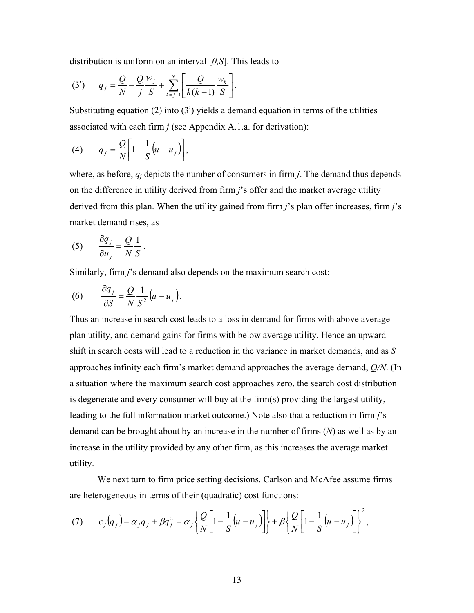distribution is uniform on an interval [*0,S*]. This leads to

(3') 
$$
q_{j} = \frac{Q}{N} - \frac{Q}{j} \frac{w_{j}}{S} + \sum_{k=j+1}^{N} \left[ \frac{Q}{k(k-1)} \frac{w_{k}}{S} \right].
$$

Substituting equation  $(2)$  into  $(3')$  yields a demand equation in terms of the utilities associated with each firm *j* (see Appendix A.1.a. for derivation):

$$
(4) \qquad q_j = \frac{Q}{N} \bigg[ 1 - \frac{1}{S} \big( \overline{u} - u_j \big) \bigg],
$$

where, as before,  $q_i$  depicts the number of consumers in firm *j*. The demand thus depends on the difference in utility derived from firm *j*'s offer and the market average utility derived from this plan. When the utility gained from firm *j*'s plan offer increases, firm *j*'s market demand rises, as

$$
(5) \qquad \frac{\partial q_j}{\partial u_j} = \frac{Q}{N} \frac{1}{S}.
$$

Similarly, firm *j*'s demand also depends on the maximum search cost:

(6) 
$$
\frac{\partial q_j}{\partial S} = \frac{Q}{N} \frac{1}{S^2} (\overline{u} - u_j).
$$

Thus an increase in search cost leads to a loss in demand for firms with above average plan utility, and demand gains for firms with below average utility. Hence an upward shift in search costs will lead to a reduction in the variance in market demands, and as *S* approaches infinity each firm's market demand approaches the average demand, *Q/N*. (In a situation where the maximum search cost approaches zero, the search cost distribution is degenerate and every consumer will buy at the firm(s) providing the largest utility, leading to the full information market outcome.) Note also that a reduction in firm *j*'s demand can be brought about by an increase in the number of firms (*N*) as well as by an increase in the utility provided by any other firm, as this increases the average market utility.

We next turn to firm price setting decisions. Carlson and McAfee assume firms are heterogeneous in terms of their (quadratic) cost functions:

$$
(7) \t c_j(q_j) = \alpha_j q_j + \beta q_j^2 = \alpha_j \left\{ \frac{Q}{N} \left[ 1 - \frac{1}{S} (\overline{u} - u_j) \right] \right\} + \beta \left\{ \frac{Q}{N} \left[ 1 - \frac{1}{S} (\overline{u} - u_j) \right] \right\}^2,
$$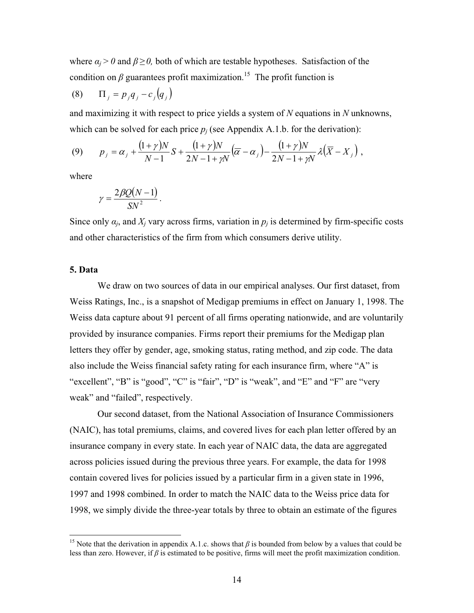where  $a_i > 0$  and  $\beta \ge 0$ , both of which are testable hypotheses. Satisfaction of the condition on  $\beta$  guarantees profit maximization.<sup>15</sup> The profit function is

$$
(8) \qquad \Pi_j = p_j q_j - c_j (q_j)
$$

and maximizing it with respect to price yields a system of *N* equations in *N* unknowns, which can be solved for each price  $p_i$  (see Appendix A.1.b. for the derivation):

(9) 
$$
p_j = \alpha_j + \frac{(1+\gamma)N}{N-1}S + \frac{(1+\gamma)N}{2N-1+\gamma N}(\overline{\alpha} - \alpha_j) - \frac{(1+\gamma)N}{2N-1+\gamma N}\lambda(\overline{X} - X_j),
$$

where

$$
\gamma = \frac{2\beta Q(N-1)}{SN^2}.
$$

Since only  $a_i$ , and  $X_i$  vary across firms, variation in  $p_i$  is determined by firm-specific costs and other characteristics of the firm from which consumers derive utility.

## **5. Data**

We draw on two sources of data in our empirical analyses. Our first dataset, from Weiss Ratings, Inc., is a snapshot of Medigap premiums in effect on January 1, 1998. The Weiss data capture about 91 percent of all firms operating nationwide, and are voluntarily provided by insurance companies. Firms report their premiums for the Medigap plan letters they offer by gender, age, smoking status, rating method, and zip code. The data also include the Weiss financial safety rating for each insurance firm, where "A" is "excellent", "B" is "good", "C" is "fair", "D" is "weak", and "E" and "F" are "very weak" and "failed", respectively.

Our second dataset, from the National Association of Insurance Commissioners (NAIC), has total premiums, claims, and covered lives for each plan letter offered by an insurance company in every state. In each year of NAIC data, the data are aggregated across policies issued during the previous three years. For example, the data for 1998 contain covered lives for policies issued by a particular firm in a given state in 1996, 1997 and 1998 combined. In order to match the NAIC data to the Weiss price data for 1998, we simply divide the three-year totals by three to obtain an estimate of the figures

<sup>&</sup>lt;sup>15</sup> Note that the derivation in appendix A.1.c. shows that  $\beta$  is bounded from below by a values that could be less than zero. However, if  $\beta$  is estimated to be positive, firms will meet the profit maximization condition.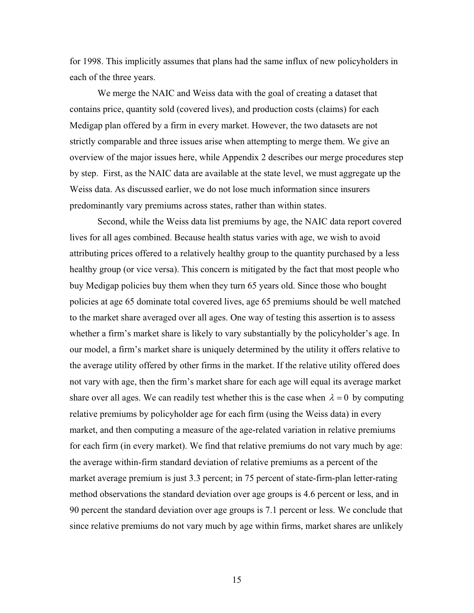for 1998. This implicitly assumes that plans had the same influx of new policyholders in each of the three years.

We merge the NAIC and Weiss data with the goal of creating a dataset that contains price, quantity sold (covered lives), and production costs (claims) for each Medigap plan offered by a firm in every market. However, the two datasets are not strictly comparable and three issues arise when attempting to merge them. We give an overview of the major issues here, while Appendix 2 describes our merge procedures step by step. First, as the NAIC data are available at the state level, we must aggregate up the Weiss data. As discussed earlier, we do not lose much information since insurers predominantly vary premiums across states, rather than within states.

Second, while the Weiss data list premiums by age, the NAIC data report covered lives for all ages combined. Because health status varies with age, we wish to avoid attributing prices offered to a relatively healthy group to the quantity purchased by a less healthy group (or vice versa). This concern is mitigated by the fact that most people who buy Medigap policies buy them when they turn 65 years old. Since those who bought policies at age 65 dominate total covered lives, age 65 premiums should be well matched to the market share averaged over all ages. One way of testing this assertion is to assess whether a firm's market share is likely to vary substantially by the policyholder's age. In our model, a firm's market share is uniquely determined by the utility it offers relative to the average utility offered by other firms in the market. If the relative utility offered does not vary with age, then the firm's market share for each age will equal its average market share over all ages. We can readily test whether this is the case when  $\lambda = 0$  by computing relative premiums by policyholder age for each firm (using the Weiss data) in every market, and then computing a measure of the age-related variation in relative premiums for each firm (in every market). We find that relative premiums do not vary much by age: the average within-firm standard deviation of relative premiums as a percent of the market average premium is just 3.3 percent; in 75 percent of state-firm-plan letter-rating method observations the standard deviation over age groups is 4.6 percent or less, and in 90 percent the standard deviation over age groups is 7.1 percent or less. We conclude that since relative premiums do not vary much by age within firms, market shares are unlikely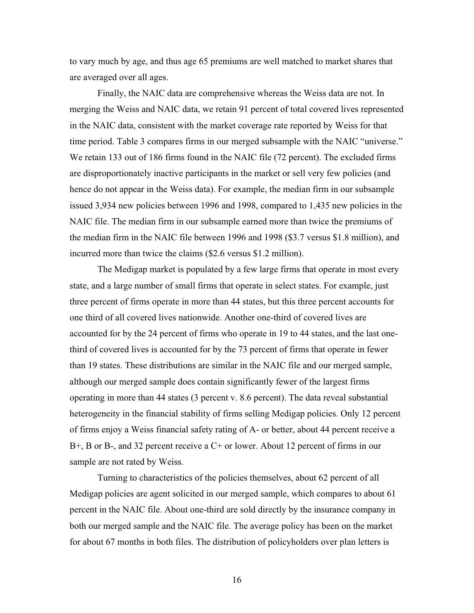to vary much by age, and thus age 65 premiums are well matched to market shares that are averaged over all ages.

Finally, the NAIC data are comprehensive whereas the Weiss data are not. In merging the Weiss and NAIC data, we retain 91 percent of total covered lives represented in the NAIC data, consistent with the market coverage rate reported by Weiss for that time period. Table 3 compares firms in our merged subsample with the NAIC "universe." We retain 133 out of 186 firms found in the NAIC file (72 percent). The excluded firms are disproportionately inactive participants in the market or sell very few policies (and hence do not appear in the Weiss data). For example, the median firm in our subsample issued 3,934 new policies between 1996 and 1998, compared to 1,435 new policies in the NAIC file. The median firm in our subsample earned more than twice the premiums of the median firm in the NAIC file between 1996 and 1998 (\$3.7 versus \$1.8 million), and incurred more than twice the claims (\$2.6 versus \$1.2 million).

The Medigap market is populated by a few large firms that operate in most every state, and a large number of small firms that operate in select states. For example, just three percent of firms operate in more than 44 states, but this three percent accounts for one third of all covered lives nationwide. Another one-third of covered lives are accounted for by the 24 percent of firms who operate in 19 to 44 states, and the last onethird of covered lives is accounted for by the 73 percent of firms that operate in fewer than 19 states. These distributions are similar in the NAIC file and our merged sample, although our merged sample does contain significantly fewer of the largest firms operating in more than 44 states (3 percent v. 8.6 percent). The data reveal substantial heterogeneity in the financial stability of firms selling Medigap policies. Only 12 percent of firms enjoy a Weiss financial safety rating of A- or better, about 44 percent receive a B+, B or B-, and 32 percent receive a C+ or lower. About 12 percent of firms in our sample are not rated by Weiss.

Turning to characteristics of the policies themselves, about 62 percent of all Medigap policies are agent solicited in our merged sample, which compares to about 61 percent in the NAIC file. About one-third are sold directly by the insurance company in both our merged sample and the NAIC file. The average policy has been on the market for about 67 months in both files. The distribution of policyholders over plan letters is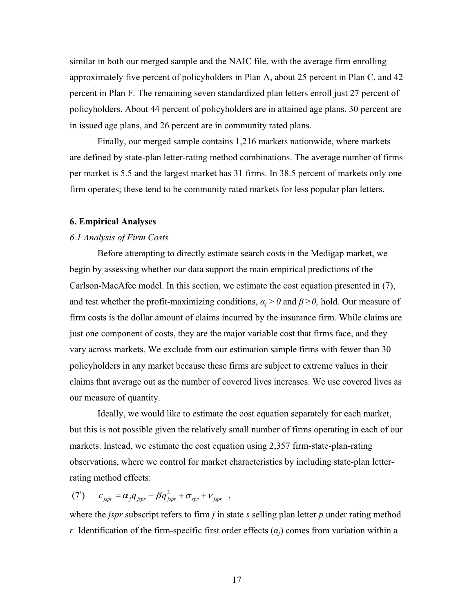similar in both our merged sample and the NAIC file, with the average firm enrolling approximately five percent of policyholders in Plan A, about 25 percent in Plan C, and 42 percent in Plan F. The remaining seven standardized plan letters enroll just 27 percent of policyholders. About 44 percent of policyholders are in attained age plans, 30 percent are in issued age plans, and 26 percent are in community rated plans.

Finally, our merged sample contains 1,216 markets nationwide, where markets are defined by state-plan letter-rating method combinations. The average number of firms per market is 5.5 and the largest market has 31 firms. In 38.5 percent of markets only one firm operates; these tend to be community rated markets for less popular plan letters.

## **6. Empirical Analyses**

#### *6.1 Analysis of Firm Costs*

Before attempting to directly estimate search costs in the Medigap market, we begin by assessing whether our data support the main empirical predictions of the Carlson-MacAfee model. In this section, we estimate the cost equation presented in (7), and test whether the profit-maximizing conditions,  $a_i > 0$  and  $\beta \ge 0$ , hold. Our measure of firm costs is the dollar amount of claims incurred by the insurance firm. While claims are just one component of costs, they are the major variable cost that firms face, and they vary across markets. We exclude from our estimation sample firms with fewer than 30 policyholders in any market because these firms are subject to extreme values in their claims that average out as the number of covered lives increases. We use covered lives as our measure of quantity.

Ideally, we would like to estimate the cost equation separately for each market, but this is not possible given the relatively small number of firms operating in each of our markets. Instead, we estimate the cost equation using 2,357 firm-state-plan-rating observations, where we control for market characteristics by including state-plan letterrating method effects:

(7')  $c_{jspr} = \alpha_j q_{jspr} + \beta q_{jspr}^2 + \sigma_{spr} + v_{jspr}$ ,

where the *jspr* subscript refers to firm *j* in state *s* selling plan letter *p* under rating method *r*. Identification of the firm-specific first order effects  $(a<sub>i</sub>)$  comes from variation within a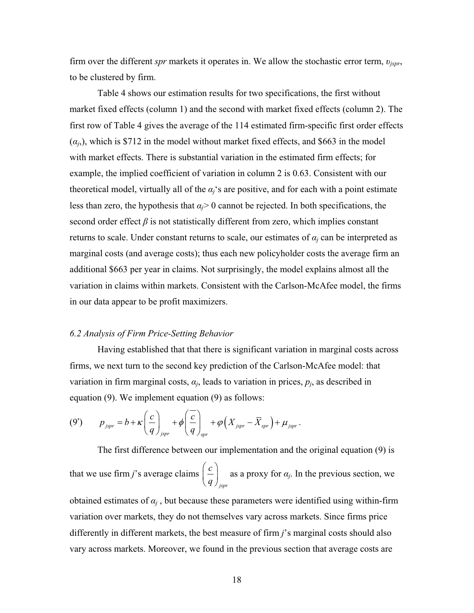firm over the different *spr* markets it operates in. We allow the stochastic error term,  $v_{ispr}$ , to be clustered by firm.

Table 4 shows our estimation results for two specifications, the first without market fixed effects (column 1) and the second with market fixed effects (column 2). The first row of Table 4 gives the average of the 114 estimated firm-specific first order effects  $(\alpha_j)$ , which is \$712 in the model without market fixed effects, and \$663 in the model with market effects. There is substantial variation in the estimated firm effects; for example, the implied coefficient of variation in column 2 is 0.63. Consistent with our theoretical model, virtually all of the  $\alpha_i$ 's are positive, and for each with a point estimate less than zero, the hypothesis that  $a_i$ > 0 cannot be rejected. In both specifications, the second order effect  $\beta$  is not statistically different from zero, which implies constant returns to scale. Under constant returns to scale, our estimates of  $a_i$  can be interpreted as marginal costs (and average costs); thus each new policyholder costs the average firm an additional \$663 per year in claims. Not surprisingly, the model explains almost all the variation in claims within markets. Consistent with the Carlson-McAfee model, the firms in our data appear to be profit maximizers.

#### *6.2 Analysis of Firm Price-Setting Behavior*

Having established that that there is significant variation in marginal costs across firms, we next turn to the second key prediction of the Carlson-McAfee model: that variation in firm marginal costs,  $a_j$ , leads to variation in prices,  $p_j$ , as described in equation (9). We implement equation (9) as follows:

$$
(9') \t p_{jspr} = b + \kappa \left(\frac{c}{q}\right)_{jspr} + \phi \left(\frac{\overline{c}}{q}\right)_{spr} + \varphi \left(X_{jspr} - \overline{X}_{spr}\right) + \mu_{jspr}.
$$

The first difference between our implementation and the original equation (9) is that we use firm  $j$ 's average claims *jspr c*  $\left(\frac{q}{q}\right)$  $\left(\frac{c}{a}\right)$  as a proxy for  $a_j$ . In the previous section, we obtained estimates of  $a_i$ , but because these parameters were identified using within-firm variation over markets, they do not themselves vary across markets. Since firms price differently in different markets, the best measure of firm *j*'s marginal costs should also vary across markets. Moreover, we found in the previous section that average costs are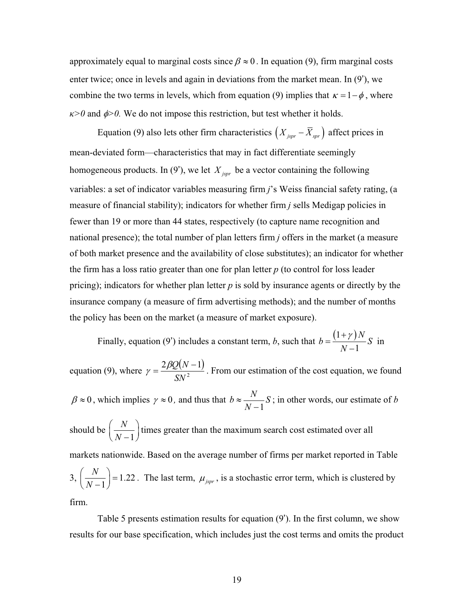approximately equal to marginal costs since  $\beta \approx 0$ . In equation (9), firm marginal costs enter twice; once in levels and again in deviations from the market mean. In (9'), we combine the two terms in levels, which from equation (9) implies that  $\kappa = 1 - \phi$ , where  $f(x)$  and  $\phi > 0$ . We do not impose this restriction, but test whether it holds.

Equation (9) also lets other firm characteristics  $(X_{\text{ISpr}} - \overline{X}_{\text{Spr}})$  affect prices in mean-deviated form—characteristics that may in fact differentiate seemingly homogeneous products. In (9'), we let  $X_{jspr}$  be a vector containing the following variables: a set of indicator variables measuring firm *j*'s Weiss financial safety rating, (a measure of financial stability); indicators for whether firm *j* sells Medigap policies in fewer than 19 or more than 44 states, respectively (to capture name recognition and national presence); the total number of plan letters firm *j* offers in the market (a measure of both market presence and the availability of close substitutes); an indicator for whether the firm has a loss ratio greater than one for plan letter *p* (to control for loss leader pricing); indicators for whether plan letter *p* is sold by insurance agents or directly by the insurance company (a measure of firm advertising methods); and the number of months the policy has been on the market (a measure of market exposure).

 $(1+\gamma)$ 1 *N N*  $+ \gamma$  $\overline{\phantom{0}}$ Finally, equation (9') includes a constant term, *b*, such that  $b = \frac{(1 + f)T}{v} S$  in

 $\beta \approx 0$ , which implies  $\gamma \approx 0$ , and thus that  $b \approx \frac{N}{N-1}$ equation (9), where  $\gamma = \frac{2\beta Q(N-1)}{N^2}$ 2  $2\beta Q(N-1)$ *SN*  $\gamma = \frac{2\beta Q(N-1)}{N^2}$ . From our estimation of the cost equation, we found 1  $b \approx \frac{1}{2} S$ ; in other words, our estimate of *b* should be 1 *N*  $(N-1)$  $\left(\frac{N}{N-1}\right)$  times greater than the maximum search cost estimated over all markets nationwide. Based on the average number of firms per market reported in Table  $3, |\frac{1}{2} \cdot \frac{1}{2} \cdot \cdot | = 1.22$  $\bigg\}$  $\left(\frac{N}{N-1}\right)$  = 1.22. The last term,  $\mu_{\text{pspr}}$ , is a stochastic error term, which is clustered by

firm.

Table 5 presents estimation results for equation (9'). In the first column, we show results for our base specification, which includes just the cost terms and omits the product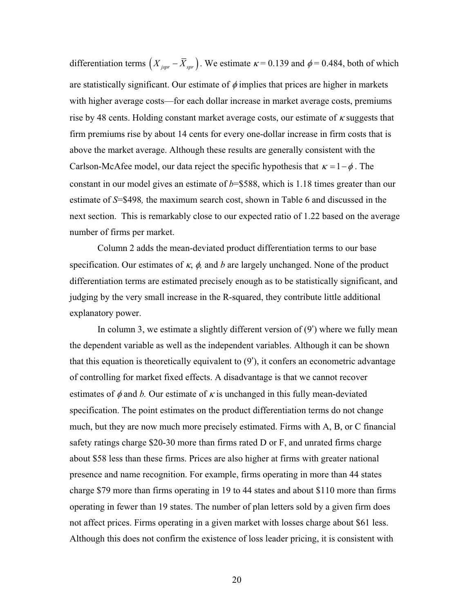differentiation terms  $(X_{jspr} - X_{spr})$ . We estimate  $\kappa = 0.139$  and  $\phi = 0.484$ , both of which are statistically significant. Our estimate of  $\phi$  implies that prices are higher in markets with higher average costs—for each dollar increase in market average costs, premiums rise by 48 cents. Holding constant market average costs, our estimate of  $\kappa$  suggests that firm premiums rise by about 14 cents for every one-dollar increase in firm costs that is above the market average. Although these results are generally consistent with the Carlson-McAfee model, our data reject the specific hypothesis that  $\kappa = 1 - \phi$ . The constant in our model gives an estimate of *b*=\$588, which is 1.18 times greater than our estimate of *S*=\$498*,* the maximum search cost, shown in Table 6 and discussed in the next section. This is remarkably close to our expected ratio of 1.22 based on the average number of firms per market.

Column 2 adds the mean-deviated product differentiation terms to our base specification. Our estimates of  $\kappa$ ,  $\phi$ , and *b* are largely unchanged. None of the product differentiation terms are estimated precisely enough as to be statistically significant, and judging by the very small increase in the R-squared, they contribute little additional explanatory power.

In column 3, we estimate a slightly different version of  $(9')$  where we fully mean the dependent variable as well as the independent variables. Although it can be shown that this equation is theoretically equivalent to  $(9')$ , it confers an econometric advantage of controlling for market fixed effects. A disadvantage is that we cannot recover estimates of  $\phi$  and *b*. Our estimate of  $\kappa$  is unchanged in this fully mean-deviated specification. The point estimates on the product differentiation terms do not change much, but they are now much more precisely estimated. Firms with A, B, or C financial safety ratings charge \$20-30 more than firms rated D or F, and unrated firms charge about \$58 less than these firms. Prices are also higher at firms with greater national presence and name recognition. For example, firms operating in more than 44 states charge \$79 more than firms operating in 19 to 44 states and about \$110 more than firms operating in fewer than 19 states. The number of plan letters sold by a given firm does not affect prices. Firms operating in a given market with losses charge about \$61 less. Although this does not confirm the existence of loss leader pricing, it is consistent with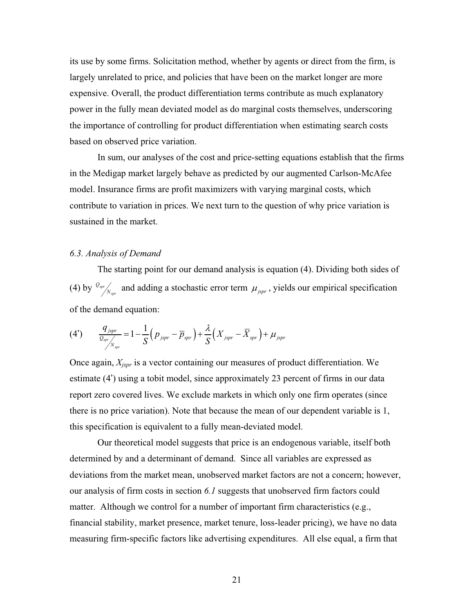its use by some firms. Solicitation method, whether by agents or direct from the firm, is largely unrelated to price, and policies that have been on the market longer are more expensive. Overall, the product differentiation terms contribute as much explanatory power in the fully mean deviated model as do marginal costs themselves, underscoring the importance of controlling for product differentiation when estimating search costs based on observed price variation.

In sum, our analyses of the cost and price-setting equations establish that the firms in the Medigap market largely behave as predicted by our augmented Carlson-McAfee model. Insurance firms are profit maximizers with varying marginal costs, which contribute to variation in prices. We next turn to the question of why price variation is sustained in the market.

### *6.3. Analysis of Demand*

The starting point for our demand analysis is equation (4). Dividing both sides of (4) by  $\frac{Q_{spr}}{N_{spr}}$  and adding a stochastic error term  $\mu_{jspr}$ , yields our empirical specification of the demand equation:

$$
(4') \qquad \frac{q_{\text{pspr}}}{\frac{Q_{\text{spr}}}{N_{\text{spr}}}} = 1 - \frac{1}{S}\Big(p_{\text{pspr}} - \overline{p}_{\text{spr}}\Big) + \frac{\lambda}{S}\Big(X_{\text{pspr}} - \overline{X}_{\text{spr}}\Big) + \mu_{\text{pspr}}
$$

Once again, *Xjspr* is a vector containing our measures of product differentiation. We estimate (4') using a tobit model, since approximately 23 percent of firms in our data report zero covered lives. We exclude markets in which only one firm operates (since there is no price variation). Note that because the mean of our dependent variable is 1, this specification is equivalent to a fully mean-deviated model.

Our theoretical model suggests that price is an endogenous variable, itself both determined by and a determinant of demand. Since all variables are expressed as deviations from the market mean, unobserved market factors are not a concern; however, our analysis of firm costs in section *6.1* suggests that unobserved firm factors could matter. Although we control for a number of important firm characteristics (e.g., financial stability, market presence, market tenure, loss-leader pricing), we have no data measuring firm-specific factors like advertising expenditures. All else equal, a firm that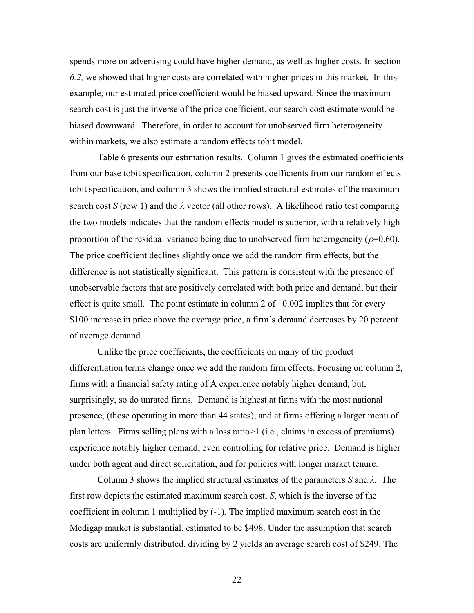spends more on advertising could have higher demand, as well as higher costs. In section *6.2,* we showed that higher costs are correlated with higher prices in this market. In this example, our estimated price coefficient would be biased upward. Since the maximum search cost is just the inverse of the price coefficient, our search cost estimate would be biased downward. Therefore, in order to account for unobserved firm heterogeneity within markets, we also estimate a random effects tobit model.

Table 6 presents our estimation results. Column 1 gives the estimated coefficients from our base tobit specification, column 2 presents coefficients from our random effects tobit specification, and column 3 shows the implied structural estimates of the maximum search cost *S* (row 1) and the  $\lambda$  vector (all other rows). A likelihood ratio test comparing the two models indicates that the random effects model is superior, with a relatively high proportion of the residual variance being due to unobserved firm heterogeneity ( $\rho$ =0.60). The price coefficient declines slightly once we add the random firm effects, but the difference is not statistically significant. This pattern is consistent with the presence of unobservable factors that are positively correlated with both price and demand, but their effect is quite small. The point estimate in column 2 of  $-0.002$  implies that for every \$100 increase in price above the average price, a firm's demand decreases by 20 percent of average demand.

Unlike the price coefficients, the coefficients on many of the product differentiation terms change once we add the random firm effects. Focusing on column 2, firms with a financial safety rating of A experience notably higher demand, but, surprisingly, so do unrated firms. Demand is highest at firms with the most national presence, (those operating in more than 44 states), and at firms offering a larger menu of plan letters. Firms selling plans with a loss ratio>1 (i.e., claims in excess of premiums) experience notably higher demand, even controlling for relative price. Demand is higher under both agent and direct solicitation, and for policies with longer market tenure.

Column 3 shows the implied structural estimates of the parameters  $S$  and  $\lambda$ . The first row depicts the estimated maximum search cost, *S*, which is the inverse of the coefficient in column 1 multiplied by (-1). The implied maximum search cost in the Medigap market is substantial, estimated to be \$498. Under the assumption that search costs are uniformly distributed, dividing by 2 yields an average search cost of \$249. The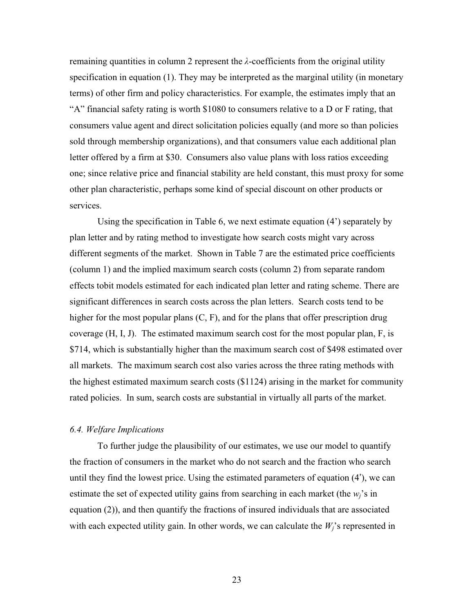remaining quantities in column 2 represent the  $\lambda$ -coefficients from the original utility specification in equation (1). They may be interpreted as the marginal utility (in monetary terms) of other firm and policy characteristics. For example, the estimates imply that an "A" financial safety rating is worth \$1080 to consumers relative to a D or F rating, that consumers value agent and direct solicitation policies equally (and more so than policies sold through membership organizations), and that consumers value each additional plan letter offered by a firm at \$30. Consumers also value plans with loss ratios exceeding one; since relative price and financial stability are held constant, this must proxy for some other plan characteristic, perhaps some kind of special discount on other products or services.

Using the specification in Table 6, we next estimate equation (4') separately by plan letter and by rating method to investigate how search costs might vary across different segments of the market. Shown in Table 7 are the estimated price coefficients (column 1) and the implied maximum search costs (column 2) from separate random effects tobit models estimated for each indicated plan letter and rating scheme. There are significant differences in search costs across the plan letters. Search costs tend to be higher for the most popular plans  $(C, F)$ , and for the plans that offer prescription drug coverage (H, I, J). The estimated maximum search cost for the most popular plan, F, is \$714, which is substantially higher than the maximum search cost of \$498 estimated over all markets. The maximum search cost also varies across the three rating methods with the highest estimated maximum search costs (\$1124) arising in the market for community rated policies. In sum, search costs are substantial in virtually all parts of the market.

## *6.4. Welfare Implications*

To further judge the plausibility of our estimates, we use our model to quantify the fraction of consumers in the market who do not search and the fraction who search until they find the lowest price. Using the estimated parameters of equation (4'), we can estimate the set of expected utility gains from searching in each market (the  $w_i$ 's in equation (2)), and then quantify the fractions of insured individuals that are associated with each expected utility gain. In other words, we can calculate the  $W_i$ 's represented in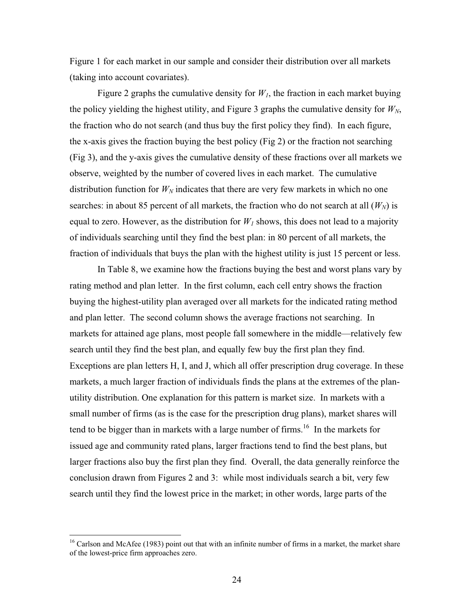Figure 1 for each market in our sample and consider their distribution over all markets (taking into account covariates).

Figure 2 graphs the cumulative density for  $W<sub>1</sub>$ , the fraction in each market buying the policy yielding the highest utility, and Figure 3 graphs the cumulative density for  $W_N$ , the fraction who do not search (and thus buy the first policy they find). In each figure, the x-axis gives the fraction buying the best policy (Fig 2) or the fraction not searching (Fig 3), and the y-axis gives the cumulative density of these fractions over all markets we observe, weighted by the number of covered lives in each market. The cumulative distribution function for  $W_N$  indicates that there are very few markets in which no one searches: in about 85 percent of all markets, the fraction who do not search at all  $(W_N)$  is equal to zero. However, as the distribution for  $W<sub>1</sub>$  shows, this does not lead to a majority of individuals searching until they find the best plan: in 80 percent of all markets, the fraction of individuals that buys the plan with the highest utility is just 15 percent or less.

In Table 8, we examine how the fractions buying the best and worst plans vary by rating method and plan letter. In the first column, each cell entry shows the fraction buying the highest-utility plan averaged over all markets for the indicated rating method and plan letter. The second column shows the average fractions not searching. In markets for attained age plans, most people fall somewhere in the middle—relatively few search until they find the best plan, and equally few buy the first plan they find. Exceptions are plan letters H, I, and J, which all offer prescription drug coverage. In these markets, a much larger fraction of individuals finds the plans at the extremes of the planutility distribution. One explanation for this pattern is market size. In markets with a small number of firms (as is the case for the prescription drug plans), market shares will tend to be bigger than in markets with a large number of firms.<sup>16</sup> In the markets for issued age and community rated plans, larger fractions tend to find the best plans, but larger fractions also buy the first plan they find. Overall, the data generally reinforce the conclusion drawn from Figures 2 and 3: while most individuals search a bit, very few search until they find the lowest price in the market; in other words, large parts of the

 $16$  Carlson and McAfee (1983) point out that with an infinite number of firms in a market, the market share of the lowest-price firm approaches zero.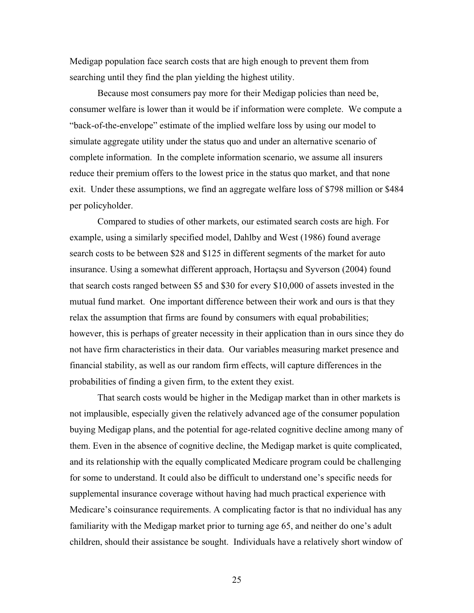Medigap population face search costs that are high enough to prevent them from searching until they find the plan yielding the highest utility.

Because most consumers pay more for their Medigap policies than need be, consumer welfare is lower than it would be if information were complete. We compute a "back-of-the-envelope" estimate of the implied welfare loss by using our model to simulate aggregate utility under the status quo and under an alternative scenario of complete information. In the complete information scenario, we assume all insurers reduce their premium offers to the lowest price in the status quo market, and that none exit. Under these assumptions, we find an aggregate welfare loss of \$798 million or \$484 per policyholder.

Compared to studies of other markets, our estimated search costs are high. For example, using a similarly specified model, Dahlby and West (1986) found average search costs to be between \$28 and \$125 in different segments of the market for auto insurance. Using a somewhat different approach, Hortaçsu and Syverson (2004) found that search costs ranged between \$5 and \$30 for every \$10,000 of assets invested in the mutual fund market. One important difference between their work and ours is that they relax the assumption that firms are found by consumers with equal probabilities; however, this is perhaps of greater necessity in their application than in ours since they do not have firm characteristics in their data. Our variables measuring market presence and financial stability, as well as our random firm effects, will capture differences in the probabilities of finding a given firm, to the extent they exist.

That search costs would be higher in the Medigap market than in other markets is not implausible, especially given the relatively advanced age of the consumer population buying Medigap plans, and the potential for age-related cognitive decline among many of them. Even in the absence of cognitive decline, the Medigap market is quite complicated, and its relationship with the equally complicated Medicare program could be challenging for some to understand. It could also be difficult to understand one's specific needs for supplemental insurance coverage without having had much practical experience with Medicare's coinsurance requirements. A complicating factor is that no individual has any familiarity with the Medigap market prior to turning age 65, and neither do one's adult children, should their assistance be sought. Individuals have a relatively short window of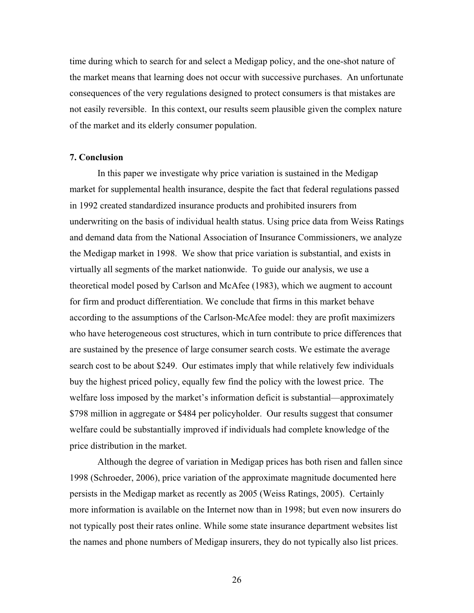time during which to search for and select a Medigap policy, and the one-shot nature of the market means that learning does not occur with successive purchases. An unfortunate consequences of the very regulations designed to protect consumers is that mistakes are not easily reversible. In this context, our results seem plausible given the complex nature of the market and its elderly consumer population.

#### **7. Conclusion**

In this paper we investigate why price variation is sustained in the Medigap market for supplemental health insurance, despite the fact that federal regulations passed in 1992 created standardized insurance products and prohibited insurers from underwriting on the basis of individual health status. Using price data from Weiss Ratings and demand data from the National Association of Insurance Commissioners, we analyze the Medigap market in 1998. We show that price variation is substantial, and exists in virtually all segments of the market nationwide. To guide our analysis, we use a theoretical model posed by Carlson and McAfee (1983), which we augment to account for firm and product differentiation. We conclude that firms in this market behave according to the assumptions of the Carlson-McAfee model: they are profit maximizers who have heterogeneous cost structures, which in turn contribute to price differences that are sustained by the presence of large consumer search costs. We estimate the average search cost to be about \$249. Our estimates imply that while relatively few individuals buy the highest priced policy, equally few find the policy with the lowest price. The welfare loss imposed by the market's information deficit is substantial—approximately \$798 million in aggregate or \$484 per policyholder. Our results suggest that consumer welfare could be substantially improved if individuals had complete knowledge of the price distribution in the market.

Although the degree of variation in Medigap prices has both risen and fallen since 1998 (Schroeder, 2006), price variation of the approximate magnitude documented here persists in the Medigap market as recently as 2005 (Weiss Ratings, 2005). Certainly more information is available on the Internet now than in 1998; but even now insurers do not typically post their rates online. While some state insurance department websites list the names and phone numbers of Medigap insurers, they do not typically also list prices.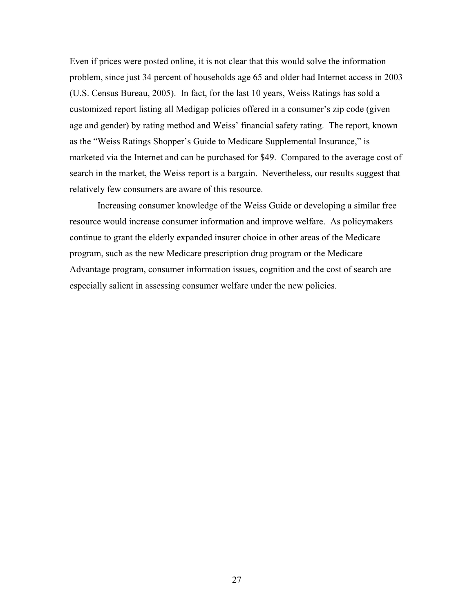Even if prices were posted online, it is not clear that this would solve the information problem, since just 34 percent of households age 65 and older had Internet access in 2003 (U.S. Census Bureau, 2005). In fact, for the last 10 years, Weiss Ratings has sold a customized report listing all Medigap policies offered in a consumer's zip code (given age and gender) by rating method and Weiss' financial safety rating. The report, known as the "Weiss Ratings Shopper's Guide to Medicare Supplemental Insurance," is marketed via the Internet and can be purchased for \$49. Compared to the average cost of search in the market, the Weiss report is a bargain. Nevertheless, our results suggest that relatively few consumers are aware of this resource.

Increasing consumer knowledge of the Weiss Guide or developing a similar free resource would increase consumer information and improve welfare. As policymakers continue to grant the elderly expanded insurer choice in other areas of the Medicare program, such as the new Medicare prescription drug program or the Medicare Advantage program, consumer information issues, cognition and the cost of search are especially salient in assessing consumer welfare under the new policies.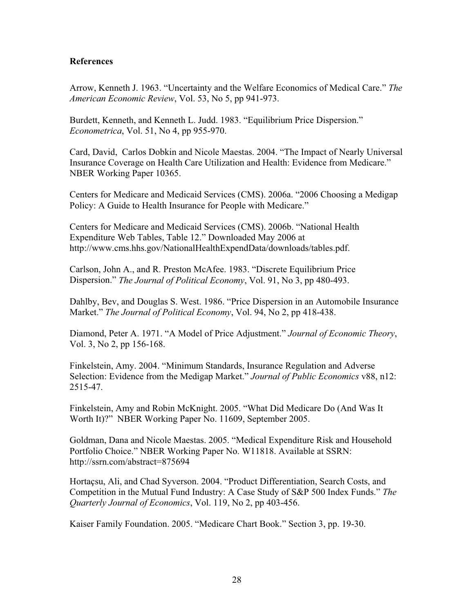## **References**

Arrow, Kenneth J. 1963. "Uncertainty and the Welfare Economics of Medical Care." *The American Economic Review*, Vol. 53, No 5, pp 941-973.

Burdett, Kenneth, and Kenneth L. Judd. 1983. "Equilibrium Price Dispersion." *Econometrica*, Vol. 51, No 4, pp 955-970.

Card, David, Carlos Dobkin and Nicole Maestas. 2004. "The Impact of Nearly Universal Insurance Coverage on Health Care Utilization and Health: Evidence from Medicare." NBER Working Paper 10365.

Centers for Medicare and Medicaid Services (CMS). 2006a. "2006 Choosing a Medigap Policy: A Guide to Health Insurance for People with Medicare."

Centers for Medicare and Medicaid Services (CMS). 2006b. "National Health Expenditure Web Tables, Table 12." Downloaded May 2006 at [http://www.cms.hhs.gov/NationalHealthExpendData/downloads/tables.pdf.](http://www.cms.hhs.gov/NationalHealthExpendData/downloads/tables.pdf)

Carlson, John A., and R. Preston McAfee. 1983. "Discrete Equilibrium Price Dispersion." *The Journal of Political Economy*, Vol. 91, No 3, pp 480-493.

Dahlby, Bev, and Douglas S. West. 1986. "Price Dispersion in an Automobile Insurance Market." *The Journal of Political Economy*, Vol. 94, No 2, pp 418-438.

Diamond, Peter A. 1971. "A Model of Price Adjustment." *Journal of Economic Theory*, Vol. 3, No 2, pp 156-168.

Finkelstein, Amy. 2004. "Minimum Standards, Insurance Regulation and Adverse Selection: Evidence from the Medigap Market." *Journal of Public Economics* v88, n12: 2515-47.

Finkelstein, Amy and Robin McKnight. 2005. "What Did Medicare Do (And Was It Worth It)?" NBER Working Paper No. 11609, September 2005.

Goldman, Dana and Nicole Maestas. 2005. "Medical Expenditure Risk and Household Portfolio Choice." NBER Working Paper No. W11818. Available at SSRN: <http://ssrn.com/abstract=875694>

Hortaçsu, Ali, and Chad Syverson. 2004. "Product Differentiation, Search Costs, and Competition in the Mutual Fund Industry: A Case Study of S&P 500 Index Funds." *The Quarterly Journal of Economics*, Vol. 119, No 2, pp 403-456.

Kaiser Family Foundation. 2005. "Medicare Chart Book." Section 3, pp. 19-30.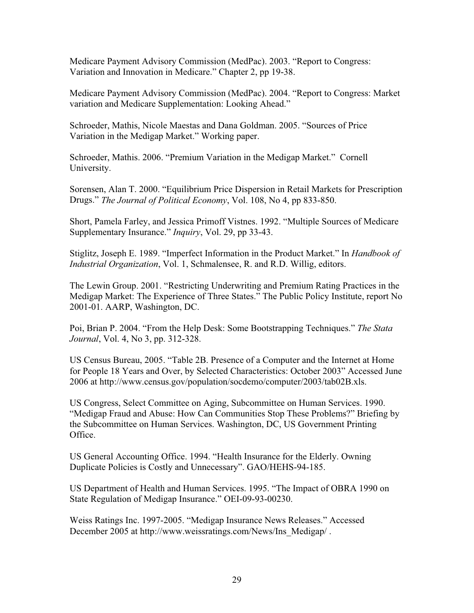Medicare Payment Advisory Commission (MedPac). 2003. "Report to Congress: Variation and Innovation in Medicare." Chapter 2, pp 19-38.

Medicare Payment Advisory Commission (MedPac). 2004. "Report to Congress: Market variation and Medicare Supplementation: Looking Ahead."

Schroeder, Mathis, Nicole Maestas and Dana Goldman. 2005. "Sources of Price Variation in the Medigap Market." Working paper.

Schroeder, Mathis. 2006. "Premium Variation in the Medigap Market." Cornell University.

Sorensen, Alan T. 2000. "Equilibrium Price Dispersion in Retail Markets for Prescription Drugs." *The Journal of Political Economy*, Vol. 108, No 4, pp 833-850.

Short, Pamela Farley, and Jessica Primoff Vistnes. 1992. "Multiple Sources of Medicare Supplementary Insurance." *Inquiry*, Vol. 29, pp 33-43.

Stiglitz, Joseph E. 1989. "Imperfect Information in the Product Market." In *Handbook of Industrial Organization*, Vol. 1, Schmalensee, R. and R.D. Willig, editors.

The Lewin Group. 2001. "Restricting Underwriting and Premium Rating Practices in the Medigap Market: The Experience of Three States." The Public Policy Institute, report No 2001-01. AARP, Washington, DC.

Poi, Brian P. 2004. "From the Help Desk: Some Bootstrapping Techniques." *The Stata Journal*, Vol. 4, No 3, pp. 312-328.

US Census Bureau, 2005. "Table 2B. Presence of a Computer and the Internet at Home for People 18 Years and Over, by Selected Characteristics: October 2003" Accessed June 2006 at [http://www.census.gov/population/socdemo/computer/2003/tab02B.xls.](http://www.census.gov/population/socdemo/computer/2003/tab02B.xls) 

US Congress, Select Committee on Aging, Subcommittee on Human Services. 1990. "Medigap Fraud and Abuse: How Can Communities Stop These Problems?" Briefing by the Subcommittee on Human Services. Washington, DC, US Government Printing Office.

US General Accounting Office. 1994. "Health Insurance for the Elderly. Owning Duplicate Policies is Costly and Unnecessary". GAO/HEHS-94-185.

US Department of Health and Human Services. 1995. "The Impact of OBRA 1990 on State Regulation of Medigap Insurance." OEI-09-93-00230.

Weiss Ratings Inc. 1997-2005. "Medigap Insurance News Releases." Accessed December 2005 at [http://www.weissratings.com/News/Ins\\_Medigap/](http://www.weissratings.com/News/Ins_Medigap).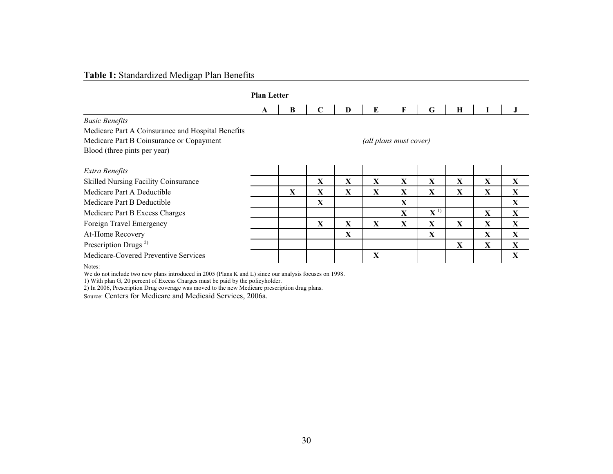# **Table 1:** Standardized Medigap Plan Benefits

|                                                   | <b>Plan Letter</b>     |   |              |              |             |              |                    |              |              |              |
|---------------------------------------------------|------------------------|---|--------------|--------------|-------------|--------------|--------------------|--------------|--------------|--------------|
|                                                   | A                      | B | $\mathbf C$  | D            | E           | F            | G                  | $\mathbf H$  |              |              |
| <b>Basic Benefits</b>                             |                        |   |              |              |             |              |                    |              |              |              |
| Medicare Part A Coinsurance and Hospital Benefits |                        |   |              |              |             |              |                    |              |              |              |
| Medicare Part B Coinsurance or Copayment          | (all plans must cover) |   |              |              |             |              |                    |              |              |              |
| Blood (three pints per year)                      |                        |   |              |              |             |              |                    |              |              |              |
| Extra Benefits                                    |                        |   |              |              |             |              |                    |              |              |              |
| <b>Skilled Nursing Facility Coinsurance</b>       |                        |   | $\mathbf{X}$ | $\mathbf{X}$ | X           | $\mathbf{X}$ | $\mathbf{X}$       | X            | $\mathbf X$  | $\mathbf{X}$ |
| Medicare Part A Deductible                        |                        | X | X            | X            | $\mathbf X$ | X            | X                  | X            | X            | $\mathbf X$  |
| Medicare Part B Deductible                        |                        |   | $\mathbf X$  |              |             | X            |                    |              |              | $\mathbf{X}$ |
| Medicare Part B Excess Charges                    |                        |   |              |              |             | X            | $\mathbf{X}^{(1)}$ |              | X            | $\mathbf{X}$ |
| Foreign Travel Emergency                          |                        |   | X            | X            | X           | $\mathbf{X}$ | X                  | X            | X            | $\mathbf{X}$ |
| At-Home Recovery                                  |                        |   |              | X            |             |              | X                  |              | X            | $\mathbf{X}$ |
| Prescription Drugs <sup>2)</sup>                  |                        |   |              |              |             |              |                    | $\mathbf{X}$ | $\mathbf{X}$ | $\mathbf{X}$ |
| Medicare-Covered Preventive Services              |                        |   |              |              | X           |              |                    |              |              | X            |

Notes:

We do not include two new plans introduced in 2005 (Plans K and L) since our analysis focuses on 1998.

1) With plan G, 20 percent of Excess Charges must be paid by the policyholder.

2) In 2006, Prescription Drug coverage was moved to the new Medicare prescription drug plans.

Source: Centers for Medicare and Medicaid Services, 2006a.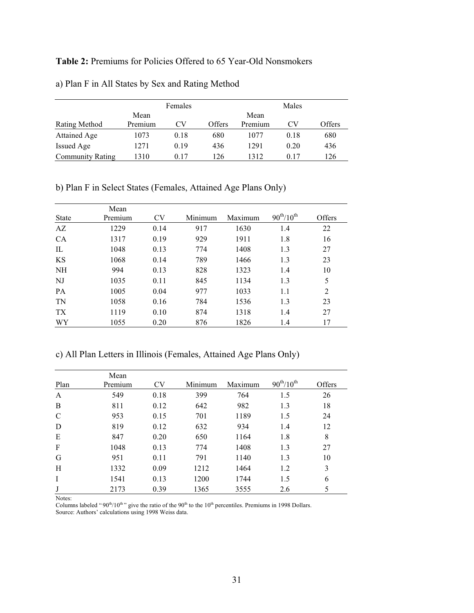# **Table 2:** Premiums for Policies Offered to 65 Year-Old Nonsmokers

|                         |         | Females |        |         | Males |        |
|-------------------------|---------|---------|--------|---------|-------|--------|
|                         | Mean    |         |        | Mean    |       |        |
| <b>Rating Method</b>    | Premium | CV      | Offers | Premium | CV    | Offers |
| Attained Age            | 1073    | 0.18    | 680    | 1077    | 0.18  | 680    |
| Issued Age              | 1271    | 0.19    | 436    | 1291    | 0.20  | 436    |
| <b>Community Rating</b> | 1310    | 0.17    | 126    | 1312    | 0.17  | 126    |

a) Plan F in All States by Sex and Rating Method

b) Plan F in Select States (Females, Attained Age Plans Only)

| <b>State</b> | Mean<br>Premium | <b>CV</b> | Minimum | Maximum | $90^{th}/10^{th}$ | Offers |
|--------------|-----------------|-----------|---------|---------|-------------------|--------|
| AZ           | 1229            | 0.14      | 917     | 1630    | 1.4               | 22     |
| <b>CA</b>    | 1317            | 0.19      | 929     | 1911    | 1.8               | 16     |
| IL           | 1048            | 0.13      | 774     | 1408    | 1.3               | 27     |
| KS           | 1068            | 0.14      | 789     | 1466    | 1.3               | 23     |
| <b>NH</b>    | 994             | 0.13      | 828     | 1323    | 1.4               | 10     |
| NJ           | 1035            | 0.11      | 845     | 1134    | 1.3               | 5      |
| <b>PA</b>    | 1005            | 0.04      | 977     | 1033    | 1.1               | 2      |
| TN           | 1058            | 0.16      | 784     | 1536    | 1.3               | 23     |
| TX           | 1119            | 0.10      | 874     | 1318    | 1.4               | 27     |
| WY           | 1055            | 0.20      | 876     | 1826    | 1.4               | 17     |

c) All Plan Letters in Illinois (Females, Attained Age Plans Only)

| Plan          | Mean<br>Premium | <b>CV</b> | Minimum | Maximum | $90^{th}/10^{th}$ | Offers |
|---------------|-----------------|-----------|---------|---------|-------------------|--------|
| $\mathbf{A}$  | 549             | 0.18      | 399     | 764     | 1.5               | 26     |
| B             | 811             | 0.12      | 642     | 982     | 1.3               | 18     |
| $\mathcal{C}$ | 953             | 0.15      | 701     | 1189    | 1.5               | 24     |
| D             | 819             | 0.12      | 632     | 934     | 1.4               | 12     |
| E             | 847             | 0.20      | 650     | 1164    | 1.8               | 8      |
| $\mathbf F$   | 1048            | 0.13      | 774     | 1408    | 1.3               | 27     |
| G             | 951             | 0.11      | 791     | 1140    | 1.3               | 10     |
| H             | 1332            | 0.09      | 1212    | 1464    | 1.2               | 3      |
| I             | 1541            | 0.13      | 1200    | 1744    | 1.5               | 6      |
|               | 2173            | 0.39      | 1365    | 3555    | 2.6               | 5      |

Notes:

Columns labeled " $90<sup>th</sup>/10<sup>th</sup>$ " give the ratio of the  $90<sup>th</sup>$  to the  $10<sup>th</sup>$  percentiles. Premiums in 1998 Dollars. Source: Authors' calculations using 1998 Weiss data.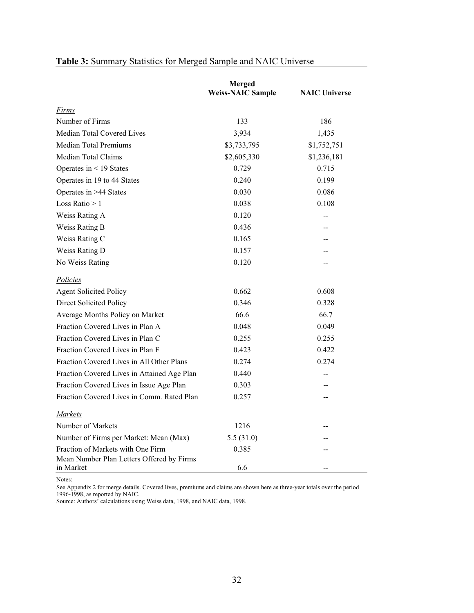|                                                                                | <b>Merged</b><br><b>Weiss-NAIC Sample</b> | <b>NAIC Universe</b> |
|--------------------------------------------------------------------------------|-------------------------------------------|----------------------|
| Firms                                                                          |                                           |                      |
| Number of Firms                                                                | 133                                       | 186                  |
| Median Total Covered Lives                                                     | 3,934                                     | 1,435                |
| <b>Median Total Premiums</b>                                                   | \$3,733,795                               | \$1,752,751          |
| Median Total Claims                                                            | \$2,605,330                               | \$1,236,181          |
| Operates in $\leq$ 19 States                                                   | 0.729                                     | 0.715                |
| Operates in 19 to 44 States                                                    | 0.240                                     | 0.199                |
| Operates in >44 States                                                         | 0.030                                     | 0.086                |
| Loss Ratio $> 1$                                                               | 0.038                                     | 0.108                |
| Weiss Rating A                                                                 | 0.120                                     |                      |
| Weiss Rating B                                                                 | 0.436                                     |                      |
| Weiss Rating C                                                                 | 0.165                                     |                      |
| Weiss Rating D                                                                 | 0.157                                     |                      |
| No Weiss Rating                                                                | 0.120                                     |                      |
| Policies                                                                       |                                           |                      |
| <b>Agent Solicited Policy</b>                                                  | 0.662                                     | 0.608                |
| Direct Solicited Policy                                                        | 0.346                                     | 0.328                |
| Average Months Policy on Market                                                | 66.6                                      | 66.7                 |
| Fraction Covered Lives in Plan A                                               | 0.048                                     | 0.049                |
| Fraction Covered Lives in Plan C                                               | 0.255                                     | 0.255                |
| Fraction Covered Lives in Plan F                                               | 0.423                                     | 0.422                |
| Fraction Covered Lives in All Other Plans                                      | 0.274                                     | 0.274                |
| Fraction Covered Lives in Attained Age Plan                                    | 0.440                                     |                      |
| Fraction Covered Lives in Issue Age Plan                                       | 0.303                                     |                      |
| Fraction Covered Lives in Comm. Rated Plan                                     | 0.257                                     |                      |
| Markets                                                                        |                                           |                      |
| Number of Markets                                                              | 1216                                      |                      |
| Number of Firms per Market: Mean (Max)                                         | 5.5(31.0)                                 |                      |
| Fraction of Markets with One Firm<br>Mean Number Plan Letters Offered by Firms | 0.385                                     |                      |
| in Market                                                                      | 6.6                                       |                      |

# **Table 3:** Summary Statistics for Merged Sample and NAIC Universe

Notes:

See Appendix 2 for merge details. Covered lives, premiums and claims are shown here as three-year totals over the period 1996-1998, as reported by NAIC.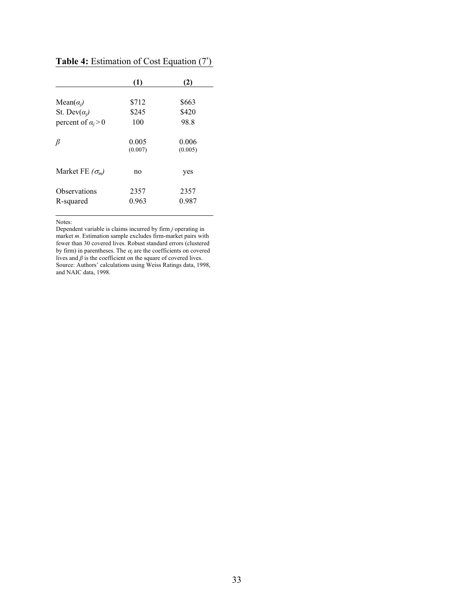|                           | (1)              | (2)              |
|---------------------------|------------------|------------------|
| Mean $(\alpha_i)$         | \$712            | \$663            |
| St. Dev $(\alpha_i)$      | \$245            | \$420            |
| percent of $\alpha_i > 0$ | 100              | 98.8             |
| β                         | 0.005<br>(0.007) | 0.006<br>(0.005) |
| Market FE $(\sigma_m)$    | no               | yes              |
| Observations              | 2357             | 2357             |
| R-squared                 | 0.963            | 0.987            |
|                           |                  |                  |

**Table 4:** Estimation of Cost Equation (7')

Notes:

Dependent variable is claims incurred by firm *j* operating in market *m*. Estimation sample excludes firm-market pairs with fewer than 30 covered lives. Robust standard errors (clustered by firm) in parentheses. The  $\alpha_j$  are the coefficients on covered lives and  $\beta$  is the coefficient on the square of covered lives. Source: Authors' calculations using Weiss Ratings data, 1998, and NAIC data, 1998.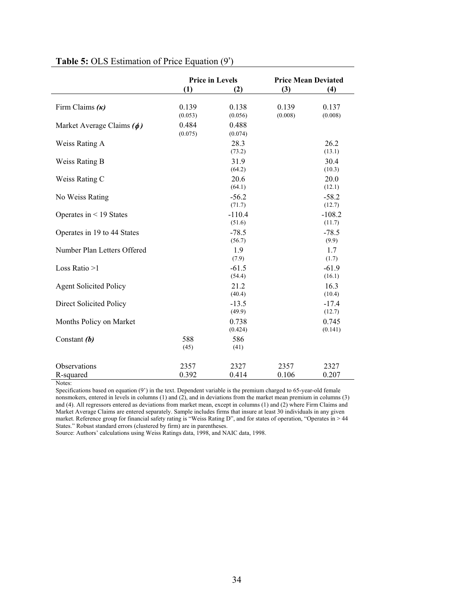|                                | <b>Price in Levels</b> |                    |                  | <b>Price Mean Deviated</b> |
|--------------------------------|------------------------|--------------------|------------------|----------------------------|
|                                | (1)                    | (2)                | (3)              | (4)                        |
| Firm Claims $(\kappa)$         | 0.139<br>(0.053)       | 0.138<br>(0.056)   | 0.139<br>(0.008) | 0.137<br>(0.008)           |
| Market Average Claims $(\phi)$ | 0.484<br>(0.075)       | 0.488<br>(0.074)   |                  |                            |
| Weiss Rating A                 |                        | 28.3<br>(73.2)     |                  | 26.2<br>(13.1)             |
| Weiss Rating B                 |                        | 31.9<br>(64.2)     |                  | 30.4<br>(10.3)             |
| Weiss Rating C                 |                        | 20.6<br>(64.1)     |                  | 20.0<br>(12.1)             |
| No Weiss Rating                |                        | $-56.2$<br>(71.7)  |                  | $-58.2$<br>(12.7)          |
| Operates in $\leq$ 19 States   |                        | $-110.4$<br>(51.6) |                  | $-108.2$<br>(11.7)         |
| Operates in 19 to 44 States    |                        | $-78.5$<br>(56.7)  |                  | $-78.5$<br>(9.9)           |
| Number Plan Letters Offered    |                        | 1.9<br>(7.9)       |                  | 1.7<br>(1.7)               |
| Loss Ratio >1                  |                        | $-61.5$<br>(54.4)  |                  | $-61.9$<br>(16.1)          |
| <b>Agent Solicited Policy</b>  |                        | 21.2<br>(40.4)     |                  | 16.3<br>(10.4)             |
| Direct Solicited Policy        |                        | $-13.5$<br>(49.9)  |                  | $-17.4$<br>(12.7)          |
| Months Policy on Market        |                        | 0.738<br>(0.424)   |                  | 0.745<br>(0.141)           |
| Constant $(b)$                 | 588<br>(45)            | 586<br>(41)        |                  |                            |
| Observations<br>R-squared      | 2357<br>0.392          | 2327<br>0.414      | 2357<br>0.106    | 2327<br>0.207              |

# **Table 5:** OLS Estimation of Price Equation (9')

Notes:

Specifications based on equation (9') in the text. Dependent variable is the premium charged to 65-year-old female nonsmokers, entered in levels in columns (1) and (2), and in deviations from the market mean premium in columns (3) and (4). All regressors entered as deviations from market mean, except in columns (1) and (2) where Firm Claims and Market Average Claims are entered separately. Sample includes firms that insure at least 30 individuals in any given market. Reference group for financial safety rating is "Weiss Rating D", and for states of operation, "Operates in > 44 States." Robust standard errors (clustered by firm) are in parentheses.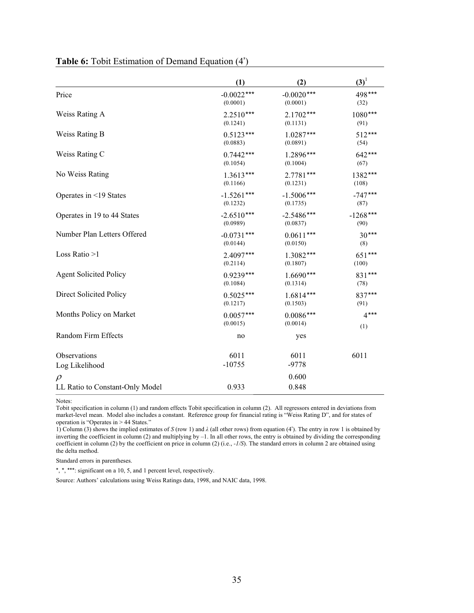|                                 | (1)          | (2)          | $(3)^1$    |
|---------------------------------|--------------|--------------|------------|
| Price                           | $-0.0022***$ | $-0.0020***$ | 498***     |
|                                 | (0.0001)     | (0.0001)     | (32)       |
| Weiss Rating A                  | $2.2510***$  | $2.1702***$  | 1080***    |
|                                 | (0.1241)     | (0.1131)     | (91)       |
| Weiss Rating B                  | $0.5123***$  | $1.0287***$  | 512***     |
|                                 | (0.0883)     | (0.0891)     | (54)       |
| Weiss Rating C                  | $0.7442***$  | $1.2896***$  | 642***     |
|                                 | (0.1054)     | (0.1004)     | (67)       |
| No Weiss Rating                 | $1.3613***$  | $2.7781***$  | 1382***    |
|                                 | (0.1166)     | (0.1231)     | (108)      |
| Operates in <19 States          | $-1.5261***$ | $-1.5006***$ | $-747***$  |
|                                 | (0.1232)     | (0.1735)     | (87)       |
| Operates in 19 to 44 States     | $-2.6510***$ | $-2.5486***$ | $-1268***$ |
|                                 | (0.0989)     | (0.0837)     | (90)       |
| Number Plan Letters Offered     | $-0.0731***$ | $0.0611***$  | $30***$    |
|                                 | (0.0144)     | (0.0150)     | (8)        |
| Loss Ratio $>1$                 | $2.4097***$  | $1.3082***$  | 651***     |
|                                 | (0.2114)     | (0.1807)     | (100)      |
| <b>Agent Solicited Policy</b>   | $0.9239***$  | $1.6690***$  | 831***     |
|                                 | (0.1084)     | (0.1314)     | (78)       |
| Direct Solicited Policy         | $0.5025***$  | $1.6814***$  | 837***     |
|                                 | (0.1217)     | (0.1503)     | (91)       |
| Months Policy on Market         | $0.0057***$  | $0.0086***$  | $4***$     |
|                                 | (0.0015)     | (0.0014)     | (1)        |
| Random Firm Effects             | no           | yes          |            |
| Observations                    | 6011         | 6011         | 6011       |
| Log Likelihood                  | $-10755$     | $-9778$      |            |
| $\rho$                          |              | 0.600        |            |
| LL Ratio to Constant-Only Model | 0.933        | 0.848        |            |

# **Table 6:** Tobit Estimation of Demand Equation (4')

Notes:

Tobit specification in column (1) and random effects Tobit specification in column (2). All regressors entered in deviations from market-level mean. Model also includes a constant. Reference group for financial rating is "Weiss Rating D", and for states of operation is "Operates in > 44 States."

1) Column (3) shows the implied estimates of *S* (row 1) and  $\lambda$  (all other rows) from equation (4'). The entry in row 1 is obtained by inverting the coefficient in column (2) and multiplying by –1. In all other rows, the entry is obtained by dividing the corresponding coefficient in column (2) by the coefficient on price in column (2) (i.e., *-1/S*). The standard errors in column 2 are obtained using the delta method.

Standard errors in parentheses.

\*, \*, \*\*\*: significant on a 10, 5, and 1 percent level, respectively.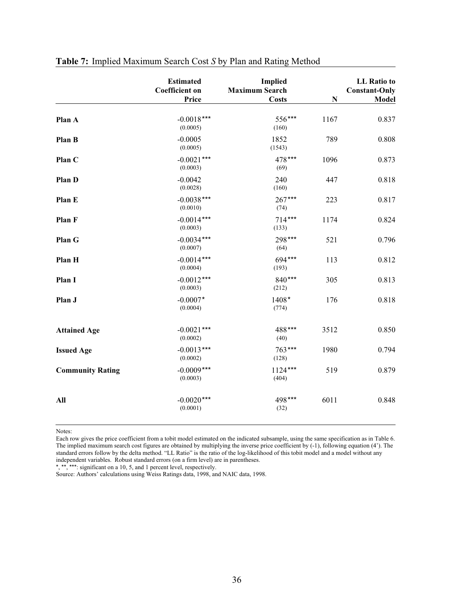|                         | <b>Estimated</b><br><b>Coefficient</b> on<br>Price | <b>Implied</b><br><b>Maximum Search</b><br><b>Costs</b> | ${\bf N}$ | <b>LL</b> Ratio to<br><b>Constant-Only</b><br>Model |
|-------------------------|----------------------------------------------------|---------------------------------------------------------|-----------|-----------------------------------------------------|
|                         |                                                    |                                                         |           |                                                     |
| Plan A                  | $-0.0018***$<br>(0.0005)                           | 556***<br>(160)                                         | 1167      | 0.837                                               |
| Plan B                  | $-0.0005$<br>(0.0005)                              | 1852<br>(1543)                                          | 789       | 0.808                                               |
| Plan C                  | $-0.0021$ ***<br>(0.0003)                          | 478***<br>(69)                                          | 1096      | 0.873                                               |
| Plan D                  | $-0.0042$<br>(0.0028)                              | 240<br>(160)                                            | 447       | 0.818                                               |
| Plan E                  | $-0.0038***$<br>(0.0010)                           | $267***$<br>(74)                                        | 223       | 0.817                                               |
| Plan F                  | $-0.0014***$<br>(0.0003)                           | $714***$<br>(133)                                       | 1174      | 0.824                                               |
| Plan G                  | $-0.0034***$<br>(0.0007)                           | 298***<br>(64)                                          | 521       | 0.796                                               |
| Plan H                  | $-0.0014***$<br>(0.0004)                           | 694***<br>(193)                                         | 113       | 0.812                                               |
| Plan I                  | $-0.0012***$<br>(0.0003)                           | $840***$<br>(212)                                       | 305       | 0.813                                               |
| Plan J                  | $-0.0007*$<br>(0.0004)                             | 1408*<br>(774)                                          | 176       | 0.818                                               |
| <b>Attained Age</b>     | $-0.0021$ ***<br>(0.0002)                          | 488***<br>(40)                                          | 3512      | 0.850                                               |
| <b>Issued Age</b>       | $-0.0013***$<br>(0.0002)                           | 763***<br>(128)                                         | 1980      | 0.794                                               |
| <b>Community Rating</b> | $-0.0009***$<br>(0.0003)                           | $1124***$<br>(404)                                      | 519       | 0.879                                               |
| All                     | $-0.0020***$<br>(0.0001)                           | 498***<br>(32)                                          | 6011      | 0.848                                               |

# **Table 7:** Implied Maximum Search Cost *S* by Plan and Rating Method

Notes:

Each row gives the price coefficient from a tobit model estimated on the indicated subsample, using the same specification as in Table 6. The implied maximum search cost figures are obtained by multiplying the inverse price coefficient by (-1), following equation (4'). The standard errors follow by the delta method. "LL Ratio" is the ratio of the log-likelihood of this tobit model and a model without any independent variables. Robust standard errors (on a firm level) are in parentheses. \*, \*\*, \*\*\*: significant on a 10, 5, and 1 percent level, respectively.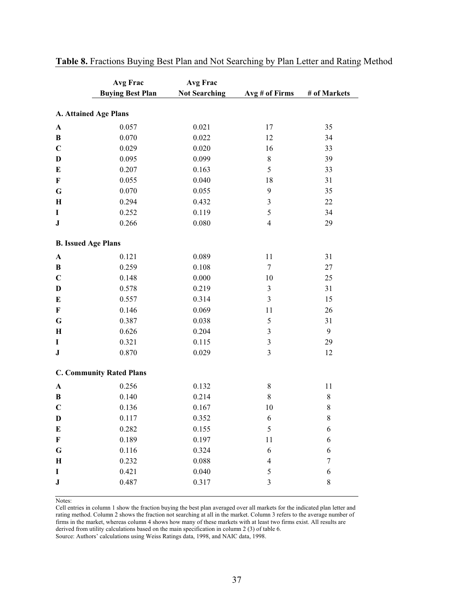|                            | Avg Frac                        | <b>Avg Frac</b>      |                          |              |
|----------------------------|---------------------------------|----------------------|--------------------------|--------------|
|                            | <b>Buying Best Plan</b>         | <b>Not Searching</b> | Avg # of Firms           | # of Markets |
|                            |                                 |                      |                          |              |
| A. Attained Age Plans      |                                 |                      |                          |              |
| $\boldsymbol{\rm A}$       | 0.057                           | 0.021                | 17                       | 35           |
| B                          | 0.070                           | 0.022                | 12                       | 34           |
| $\mathbf C$                | 0.029                           | 0.020                | 16                       | 33           |
| $\mathbf D$                | 0.095                           | 0.099                | $\,$ 8 $\,$              | 39           |
| E                          | 0.207                           | 0.163                | 5                        | 33           |
| $\mathbf F$                | 0.055                           | 0.040                | 18                       | 31           |
| $\mathbf G$                | 0.070                           | 0.055                | 9                        | 35           |
| $\bf H$                    | 0.294                           | 0.432                | $\mathfrak{Z}$           | 22           |
| I                          | 0.252                           | 0.119                | 5                        | 34           |
| ${\bf J}$                  | 0.266                           | 0.080                | $\overline{4}$           | 29           |
| <b>B.</b> Issued Age Plans |                                 |                      |                          |              |
| $\boldsymbol{\rm A}$       | 0.121                           | 0.089                | 11                       | 31           |
| B                          | 0.259                           | 0.108                | 7                        | 27           |
| $\mathbf C$                | 0.148                           | 0.000                | 10                       | 25           |
| D                          | 0.578                           | 0.219                | $\mathfrak{Z}$           | 31           |
| E                          | 0.557                           | 0.314                | $\mathfrak{Z}$           | 15           |
| F                          | 0.146                           | 0.069                | 11                       | 26           |
| $\mathbf G$                | 0.387                           | 0.038                | 5                        | 31           |
| $\bf H$                    | 0.626                           | 0.204                | $\mathfrak{Z}$           | 9            |
| I                          | 0.321                           | 0.115                | $\mathfrak{Z}$           | 29           |
| ${\bf J}$                  | 0.870                           | 0.029                | $\overline{\mathbf{3}}$  | 12           |
|                            | <b>C. Community Rated Plans</b> |                      |                          |              |
| $\boldsymbol{\rm A}$       | 0.256                           | 0.132                | $8\,$                    | 11           |
| B                          | 0.140                           | 0.214                | $\,8\,$                  | $8\,$        |
| $\mathbf C$                | 0.136                           | 0.167                | 10                       | $8\,$        |
| D                          | 0.117                           | 0.352                | 6                        | 8            |
| E                          | 0.282                           | 0.155                | $\sqrt{5}$               | 6            |
| F                          | 0.189                           | 0.197                | 11                       | $\sqrt{6}$   |
| G                          | 0.116                           | 0.324                | 6                        | 6            |
| $\bf H$                    | 0.232                           | 0.088                | $\overline{\mathcal{L}}$ | 7            |
| I                          | 0.421                           | 0.040                | 5                        | 6            |
| ${\bf J}$                  | 0.487                           | 0.317                | 3                        | $8\,$        |
|                            |                                 |                      |                          |              |

**Table 8.** Fractions Buying Best Plan and Not Searching by Plan Letter and Rating Method

Notes:

Cell entries in column 1 show the fraction buying the best plan averaged over all markets for the indicated plan letter and rating method. Column 2 shows the fraction not searching at all in the market. Column 3 refers to the average number of firms in the market, whereas column 4 shows how many of these markets with at least two firms exist. All results are derived from utility calculations based on the main specification in column 2 (3) of table 6.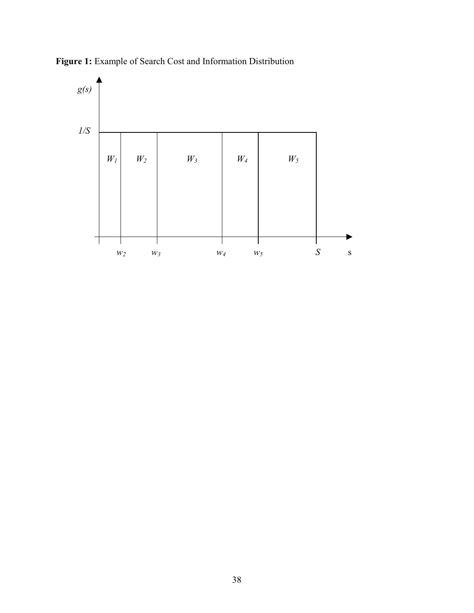

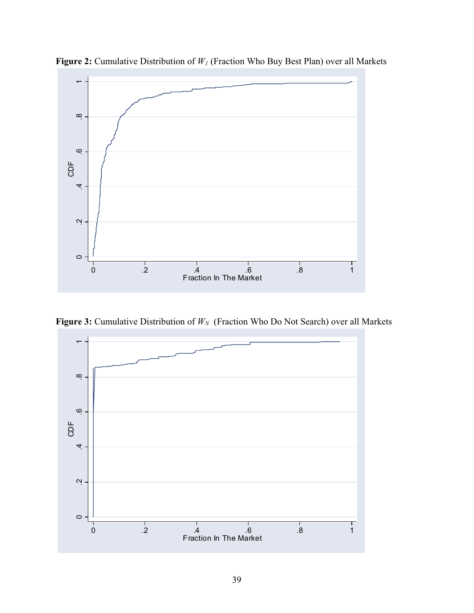

**Figure 2:** Cumulative Distribution of *W1* (Fraction Who Buy Best Plan) over all Markets

**Figure 3:** Cumulative Distribution of  $W_N$  (Fraction Who Do Not Search) over all Markets

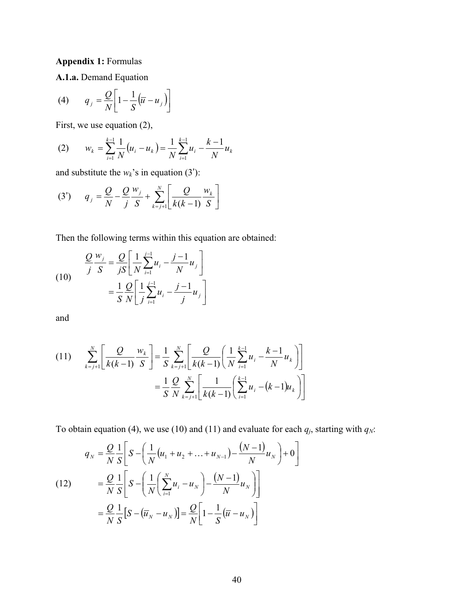# **Appendix 1:** Formulas

**A.1.a.** Demand Equation

$$
(4) \qquad q_j = \frac{Q}{N} \left[ 1 - \frac{1}{S} \left( \overline{u} - u_j \right) \right]
$$

First, we use equation (2),

(2) 
$$
w_k = \sum_{i=1}^{k-1} \frac{1}{N} (u_i - u_k) = \frac{1}{N} \sum_{i=1}^{k-1} u_i - \frac{k-1}{N} u_k
$$

and substitute the  $w_k$ 's in equation (3'):

(3') 
$$
q_{j} = \frac{Q}{N} - \frac{Q}{j} \frac{w_{j}}{S} + \sum_{k=j+1}^{N} \left[ \frac{Q}{k(k-1)} \frac{w_{k}}{S} \right]
$$

Then the following terms within this equation are obtained:

(10) 
$$
\frac{Q}{j} \frac{w_j}{S} = \frac{Q}{jS} \left[ \frac{1}{N} \sum_{i=1}^{j-1} u_i - \frac{j-1}{N} u_j \right] = \frac{1}{S} \frac{Q}{N} \left[ \frac{1}{j} \sum_{i=1}^{j-1} u_i - \frac{j-1}{j} u_j \right]
$$

and

$$
(11) \qquad \sum_{k=j+1}^{N} \left[ \frac{Q}{k(k-1)} \frac{w_k}{S} \right] = \frac{1}{S} \sum_{k=j+1}^{N} \left[ \frac{Q}{k(k-1)} \left( \frac{1}{N} \sum_{i=1}^{k-1} u_i - \frac{k-1}{N} u_k \right) \right]
$$

$$
= \frac{1}{S} \frac{Q}{N} \sum_{k=j+1}^{N} \left[ \frac{1}{k(k-1)} \left( \sum_{i=1}^{k-1} u_i - (k-1) u_k \right) \right]
$$

To obtain equation (4), we use (10) and (11) and evaluate for each  $q_j$ , starting with  $q_N$ :

(12) 
$$
q_N = \frac{Q}{N} \frac{1}{S} \left[ S - \left( \frac{1}{N} (u_1 + u_2 + \dots + u_{N-1}) - \frac{(N-1)}{N} u_N \right) + 0 \right]
$$

$$
= \frac{Q}{N} \frac{1}{S} \left[ S - \left( \frac{1}{N} \left( \sum_{i=1}^N u_i - u_N \right) - \frac{(N-1)}{N} u_N \right) \right]
$$

$$
= \frac{Q}{N} \frac{1}{S} \left[ S - (\overline{u}_N - u_N) \right] = \frac{Q}{N} \left[ 1 - \frac{1}{S} (\overline{u} - u_N) \right]
$$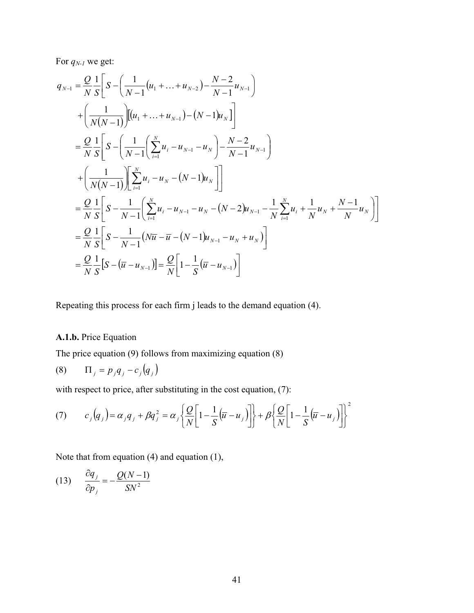For *qN-1* we get:

$$
q_{N-1} = \frac{Q}{N} \frac{1}{S} \left[ S - \left( \frac{1}{N-1} (u_1 + \dots + u_{N-2}) - \frac{N-2}{N-1} u_{N-1} \right) \right]
$$
  
+ 
$$
\left( \frac{1}{N(N-1)} \right) \left[ (u_1 + \dots + u_{N-1}) - (N-1) u_N \right]
$$
  
= 
$$
\frac{Q}{N} \frac{1}{S} \left[ S - \left( \frac{1}{N-1} \left( \sum_{i=1}^N u_i - u_{N-1} - u_N \right) - \frac{N-2}{N-1} u_{N-1} \right) \right]
$$
  
+ 
$$
\left( \frac{1}{N(N-1)} \right) \left[ \sum_{i=1}^N u_i - u_N - (N-1) u_N \right]
$$
  
= 
$$
\frac{Q}{N} \frac{1}{S} \left[ S - \frac{1}{N-1} \left( \sum_{i=1}^N u_i - u_{N-1} - u_N - (N-2) u_{N-1} - \frac{1}{N} \sum_{i=1}^N u_i + \frac{1}{N} u_N + \frac{N-1}{N} u_N \right) \right]
$$
  
= 
$$
\frac{Q}{N} \frac{1}{S} \left[ S - \frac{1}{N-1} (N \overline{u} - \overline{u} - (N-1) u_{N-1} - u_N + u_N) \right]
$$
  
= 
$$
\frac{Q}{N} \frac{1}{S} \left[ S - (\overline{u} - u_{N-1}) \right] = \frac{Q}{N} \left[ 1 - \frac{1}{S} (\overline{u} - u_{N-1}) \right]
$$

Repeating this process for each firm j leads to the demand equation (4).

# **A.1.b.** Price Equation

The price equation (9) follows from maximizing equation (8)

$$
(8) \qquad \Pi_j = p_j q_j - c_j (q_j)
$$

with respect to price, after substituting in the cost equation, (7):

$$
(7) \t c_j(q_j) = \alpha_j q_j + \beta q_j^2 = \alpha_j \left\{ \frac{Q}{N} \left[ 1 - \frac{1}{S} (\overline{u} - u_j) \right] \right\} + \beta \left\{ \frac{Q}{N} \left[ 1 - \frac{1}{S} (\overline{u} - u_j) \right] \right\}^2
$$

Note that from equation (4) and equation (1),

$$
(13) \qquad \frac{\partial q_j}{\partial p_j} = -\frac{Q(N-1)}{SN^2}
$$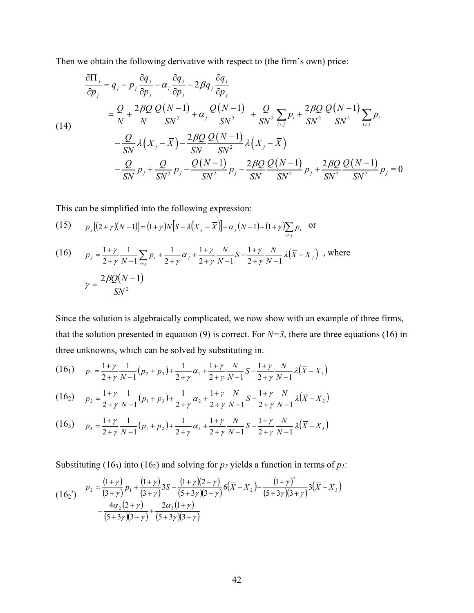Then we obtain the following derivative with respect to (the firm's own) price:

$$
\frac{\partial \Pi_{j}}{\partial p_{j}} = q_{j} + p_{j} \frac{\partial q_{j}}{\partial p_{j}} - \alpha_{j} \frac{\partial q_{j}}{\partial p_{j}} - 2\beta q_{j} \frac{\partial q_{j}}{\partial p_{j}} \n= \frac{Q}{N} + \frac{2\beta Q}{N} \frac{Q(N-1)}{SN^{2}} + \alpha_{j} \frac{Q(N-1)}{SN^{2}} + \frac{Q}{SN^{2}} \sum_{i \neq j} p_{i} + \frac{2\beta Q}{SN^{2}} \frac{Q(N-1)}{SN^{2}} \sum_{i \neq j} p_{i} \n- \frac{Q}{SN} \lambda (X_{j} - \overline{X}) - \frac{2\beta Q}{SN} \frac{Q(N-1)}{SN^{2}} \lambda (X_{j} - \overline{X}) \n- \frac{Q}{SN} p_{j} + \frac{Q}{SN^{2}} p_{j} - \frac{Q(N-1)}{SN^{2}} p_{j} - \frac{2\beta Q}{SN^{2}} \frac{Q(N-1)}{SN^{2}} p_{j} + \frac{2\beta Q}{SN^{2}} \frac{Q(N-1)}{SN^{2}} p_{j} = 0
$$

This can be simplified into the following expression:

(15) 
$$
p_j[(2+\gamma)(N-1)] = (1+\gamma)N[S-\lambda(X_j-\overline{X})] + \alpha_j(N-1) + (1+\gamma)\sum_{i \neq j} p_i
$$
 or

(16) 
$$
p_j = \frac{1+\gamma}{2+\gamma} \frac{1}{N-1} \sum_{i \neq j} p_i + \frac{1}{2+\gamma} \alpha_j + \frac{1+\gamma}{2+\gamma} \frac{N}{N-1} S - \frac{1+\gamma}{2+\gamma} \frac{N}{N-1} \lambda (\overline{X} - X_j) \text{ , where}
$$

$$
\gamma = \frac{2\beta Q(N-1)}{SN^2}
$$

Since the solution is algebraically complicated, we now show with an example of three firms, that the solution presented in equation (9) is correct. For  $N=3$ , there are three equations (16) in three unknowns, which can be solved by substituting in.

$$
(16_1) \qquad p_1 = \frac{1+\gamma}{2+\gamma} \frac{1}{N-1} (p_2 + p_3) + \frac{1}{2+\gamma} \alpha_1 + \frac{1+\gamma}{2+\gamma} \frac{N}{N-1} S - \frac{1+\gamma}{2+\gamma} \frac{N}{N-1} \lambda (\overline{X} - X_1)
$$

$$
(16_2) \qquad p_2 = \frac{1+\gamma}{2+\gamma} \frac{1}{N-1} (p_1 + p_3) + \frac{1}{2+\gamma} \alpha_2 + \frac{1+\gamma}{2+\gamma} \frac{N}{N-1} S - \frac{1+\gamma}{2+\gamma} \frac{N}{N-1} \lambda (\overline{X} - X_2)
$$

$$
(16_3) \qquad p_3 = \frac{1+\gamma}{2+\gamma} \frac{1}{N-1} (p_1 + p_2) + \frac{1}{2+\gamma} \alpha_3 + \frac{1+\gamma}{2+\gamma} \frac{N}{N-1} S - \frac{1+\gamma}{2+\gamma} \frac{N}{N-1} \lambda (\overline{X} - X_3)
$$

Substituting (16<sub>3</sub>) into (16<sub>2</sub>) and solving for  $p_2$  yields a function in terms of  $p_1$ :

$$
(16_2') \quad P_2 = \frac{(1+\gamma)}{(3+\gamma)} p_1 + \frac{(1+\gamma)}{(3+\gamma)} 3S - \frac{(1+\gamma)(2+\gamma)}{(5+3\gamma)(3+\gamma)} 6(\overline{X} - X_2) - \frac{(1+\gamma)^2}{(5+3\gamma)(3+\gamma)} 3(\overline{X} - X_3) + \frac{4\alpha_2(2+\gamma)}{(5+3\gamma)(3+\gamma)} + \frac{2\alpha_3(1+\gamma)}{(5+3\gamma)(3+\gamma)}
$$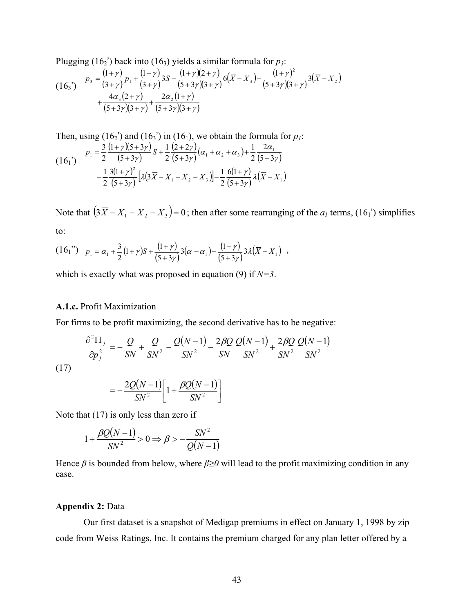Plugging  $(16<sub>2</sub>)$  back into  $(16<sub>3</sub>)$  yields a similar formula for  $p<sub>3</sub>$ :

$$
(163') \quad p_3 = \frac{(1+\gamma)}{(3+\gamma)} p_1 + \frac{(1+\gamma)}{(3+\gamma)} 3S - \frac{(1+\gamma)(2+\gamma)}{(5+3\gamma)(3+\gamma)} 6(\overline{X} - X_3) - \frac{(1+\gamma)^2}{(5+3\gamma)(3+\gamma)} 3(\overline{X} - X_2) + \frac{4\alpha_3(2+\gamma)}{(5+3\gamma)(3+\gamma)} + \frac{2\alpha_2(1+\gamma)}{(5+3\gamma)(3+\gamma)}
$$

Then, using  $(16<sub>2</sub>)$  and  $(16<sub>3</sub>)$  in  $(16<sub>1</sub>)$ , we obtain the formula for  $p<sub>1</sub>$ :  $(16<sub>1</sub>)'$  $(1 + \gamma)(5 + 3\gamma)$  $(5+3\gamma)$  $\alpha_1 = \frac{3}{2} \frac{(1+\gamma)(5+3\gamma)}{(5+3\gamma)} S + \frac{1}{2} \frac{(2+2\gamma)}{(5+3\gamma)} (\alpha_1 + \alpha_2 + \alpha_3) + \frac{1}{2} \frac{2\alpha_1}{(5+3\gamma)}$  $\frac{3(1+\gamma)^2}{(5+3\gamma)}\big[\lambda(3\overline{X}-X_1-X_2-X_3)\big] -\frac{1}{2}\frac{6(1+\gamma)}{(5+3\gamma)}\lambda(\overline{X}-X_1)$ 2  $5 + 3$ 6(1 2  $\left[3\overline{X} - X_1 - X_2 - X_3\right] - \frac{1}{2}$  $5 + 3$  $3(1)$ 2  $-\frac{1}{2}\frac{3(1+\gamma)^2}{(5+3\gamma)}\Big[\lambda(3\overline{X}-X_1-X_2-X_3)\Big]-\frac{1}{2}\frac{6(1+\gamma)}{(5+3\gamma)}\lambda(\overline{X}-X_3)$ 2 2 1  $5 + 3$  $2 + 2$ 2 1  $5 + 3$  $(1 + \gamma)(5 + 3)$ 2  $p_1 = \frac{3}{2} \frac{(1+\gamma)(5+3\gamma)}{(5-3\gamma)} S$  $\ddot{}$  $+\alpha_2+\alpha_3$ )+  $^{+}$  $+\frac{1}{2}\frac{(2+1)}{(5+1)}$  $\ddot{}$  $=\frac{3}{2}\frac{(1+\gamma)(5+3\gamma)}{(5+3\gamma)}S+\frac{1}{2}\frac{(2+2\gamma)}{(5+3\gamma)}(\alpha_1+\alpha_2+\alpha_3)+\frac{1}{2}\frac{2\alpha_1}{(5+3\gamma)}$ Y  $\left[\lambda(3\overline{X}-X_1-X_2-X_3)\right]-\frac{1}{2}\frac{6(1+\gamma)}{2}$ Y γ  $(\alpha_1 + \alpha_2 + \alpha_3) + \frac{1}{\alpha_1} + \frac{2\alpha_2}{\alpha_2}$ Y 'Y iy  $\gamma$  J  $\rightarrow$   $\rightarrow$   $\gamma$ 

Note that  $(3\overline{X} - X_1 - X_2 - X_3) = 0$ ; then after some rearranging of the  $a_1$  terms, (16<sub>1</sub>') simplifies to:

$$
(16_1'') \quad p_1 = \alpha_1 + \frac{3}{2}(1+\gamma)S + \frac{(1+\gamma)}{(5+3\gamma)}3(\overline{\alpha}-\alpha_1) - \frac{(1+\gamma)}{(5+3\gamma)}3\lambda(\overline{X}-X_1) \enspace ,
$$

which is exactly what was proposed in equation (9) if *N=3*.

## **A.1.c.** Profit Maximization

For firms to be profit maximizing, the second derivative has to be negative:

$$
\frac{\partial^2 \Pi_j}{\partial p_j^2} = -\frac{Q}{SN} + \frac{Q}{SN^2} - \frac{Q(N-1)}{SN^2} - \frac{2\beta Q}{SN} \frac{Q(N-1)}{SN^2} + \frac{2\beta Q}{SN^2} \frac{Q(N-1)}{SN^2}
$$

(17)

$$
=-\frac{2Q(N-1)}{SN^2}\bigg[1+\frac{\beta Q(N-1)}{SN^2}\bigg]
$$

Note that (17) is only less than zero if

$$
1 + \frac{\beta Q(N-1)}{SN^2} > 0 \Rightarrow \beta > -\frac{SN^2}{Q(N-1)}
$$

Hence  $\beta$  is bounded from below, where  $\beta \ge 0$  will lead to the profit maximizing condition in any case.

## **Appendix 2:** Data

Our first dataset is a snapshot of Medigap premiums in effect on January 1, 1998 by zip code from Weiss Ratings, Inc. It contains the premium charged for any plan letter offered by a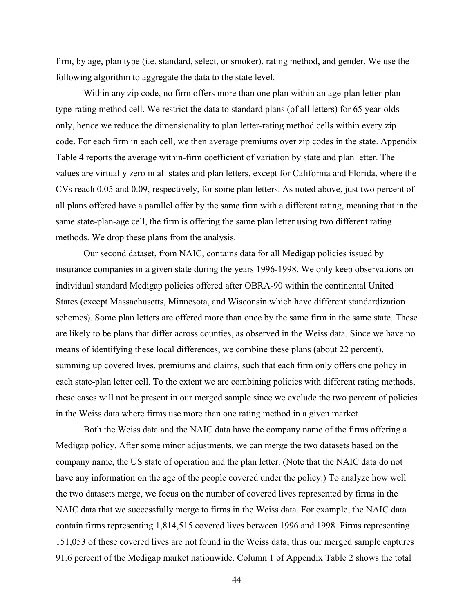firm, by age, plan type (i.e. standard, select, or smoker), rating method, and gender. We use the following algorithm to aggregate the data to the state level.

Within any zip code, no firm offers more than one plan within an age-plan letter-plan type-rating method cell. We restrict the data to standard plans (of all letters) for 65 year-olds only, hence we reduce the dimensionality to plan letter-rating method cells within every zip code. For each firm in each cell, we then average premiums over zip codes in the state. Appendix Table 4 reports the average within-firm coefficient of variation by state and plan letter. The values are virtually zero in all states and plan letters, except for California and Florida, where the CVs reach 0.05 and 0.09, respectively, for some plan letters. As noted above, just two percent of all plans offered have a parallel offer by the same firm with a different rating, meaning that in the same state-plan-age cell, the firm is offering the same plan letter using two different rating methods. We drop these plans from the analysis.

Our second dataset, from NAIC, contains data for all Medigap policies issued by insurance companies in a given state during the years 1996-1998. We only keep observations on individual standard Medigap policies offered after OBRA-90 within the continental United States (except Massachusetts, Minnesota, and Wisconsin which have different standardization schemes). Some plan letters are offered more than once by the same firm in the same state. These are likely to be plans that differ across counties, as observed in the Weiss data. Since we have no means of identifying these local differences, we combine these plans (about 22 percent), summing up covered lives, premiums and claims, such that each firm only offers one policy in each state-plan letter cell. To the extent we are combining policies with different rating methods, these cases will not be present in our merged sample since we exclude the two percent of policies in the Weiss data where firms use more than one rating method in a given market.

Both the Weiss data and the NAIC data have the company name of the firms offering a Medigap policy. After some minor adjustments, we can merge the two datasets based on the company name, the US state of operation and the plan letter. (Note that the NAIC data do not have any information on the age of the people covered under the policy.) To analyze how well the two datasets merge, we focus on the number of covered lives represented by firms in the NAIC data that we successfully merge to firms in the Weiss data. For example, the NAIC data contain firms representing 1,814,515 covered lives between 1996 and 1998. Firms representing 151,053 of these covered lives are not found in the Weiss data; thus our merged sample captures 91.6 percent of the Medigap market nationwide. Column 1 of Appendix Table 2 shows the total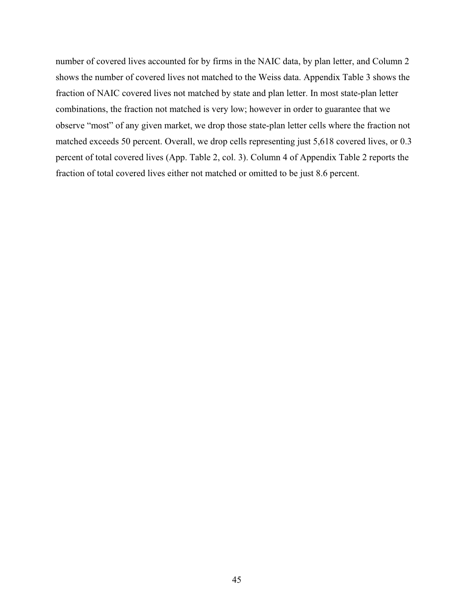number of covered lives accounted for by firms in the NAIC data, by plan letter, and Column 2 shows the number of covered lives not matched to the Weiss data. Appendix Table 3 shows the fraction of NAIC covered lives not matched by state and plan letter. In most state-plan letter combinations, the fraction not matched is very low; however in order to guarantee that we observe "most" of any given market, we drop those state-plan letter cells where the fraction not matched exceeds 50 percent. Overall, we drop cells representing just 5,618 covered lives, or 0.3 percent of total covered lives (App. Table 2, col. 3). Column 4 of Appendix Table 2 reports the fraction of total covered lives either not matched or omitted to be just 8.6 percent.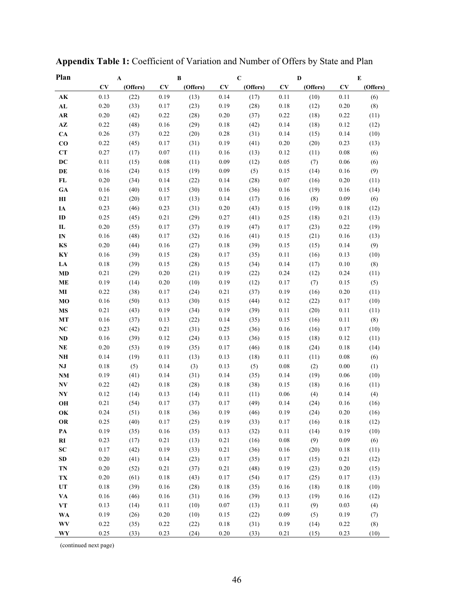| Plan                   |          | $\mathbf A$ |          | B        |          | $\mathbf C$ |            | D        |          | E        |
|------------------------|----------|-------------|----------|----------|----------|-------------|------------|----------|----------|----------|
|                        | CV       | (Offers)    | CV       | (Offers) | CV       | (Offers)    | CV         | (Offers) | CV       | (Offers) |
| AК                     | 0.13     | (22)        | 0.19     | (13)     | 0.14     | (17)        | 0.11       | (10)     | 0.11     | (6)      |
| AL                     | 0.20     | (33)        | 0.17     | (23)     | 0.19     | (28)        | 0.18       | (12)     | 0.20     | (8)      |
| AR                     | 0.20     | (42)        | 0.22     | (28)     | 0.20     | (37)        | 0.22       | (18)     | 0.22     | (11)     |
| $\mathbf{A}\mathbf{Z}$ | 0.22     | (48)        | 0.16     | (29)     | 0.18     | (42)        | 0.14       | (18)     | 0.12     | (12)     |
| CA                     | 0.26     | (37)        | 0.22     | (20)     | 0.28     | (31)        | 0.14       | (15)     | 0.14     | (10)     |
| $\bf{CO}$              | 0.22     | (45)        | 0.17     | (31)     | 0.19     | (41)        | 0.20       | (20)     | 0.23     | (13)     |
| CT                     | 0.27     | (17)        | 0.07     | (11)     | 0.16     | (13)        | 0.12       | (11)     | 0.08     | (6)      |
| DC                     | 0.11     | (15)        | 0.08     | (11)     | 0.09     | (12)        | 0.05       | (7)      | 0.06     | (6)      |
| DE                     | 0.16     | (24)        | 0.15     | (19)     | 0.09     | (5)         | 0.15       | (14)     | 0.16     | (9)      |
| FL                     | 0.20     | (34)        | 0.14     | (22)     | 0.14     | (28)        | 0.07       | (16)     | 0.20     | (11)     |
| <b>GA</b>              | 0.16     | (40)        | 0.15     | (30)     | 0.16     | (36)        | 0.16       | (19)     | 0.16     | (14)     |
| Ш                      | 0.21     | (20)        | 0.17     | (13)     | 0.14     | (17)        | 0.16       | (8)      | 0.09     | (6)      |
| IA                     | 0.23     | (46)        | 0.23     | (31)     | 0.20     | (43)        | 0.15       | (19)     | 0.18     | (12)     |
| ID                     | 0.25     | (45)        | 0.21     | (29)     | 0.27     | (41)        | 0.25       | (18)     | 0.21     | (13)     |
| П                      | 0.20     | (55)        | 0.17     | (37)     | 0.19     | (47)        | 0.17       | (23)     | 0.22     | (19)     |
| IN                     | 0.16     | (48)        | 0.17     | (32)     | 0.16     | (41)        | 0.15       | (21)     | 0.16     | (13)     |
| KS                     | 0.20     | (44)        | 0.16     | (27)     | 0.18     | (39)        | 0.15       | (15)     | 0.14     | (9)      |
| KY                     | 0.16     | (39)        | 0.15     | (28)     | 0.17     | (35)        | 0.11       | (16)     | 0.13     | (10)     |
| LA                     | 0.18     | (39)        | 0.15     | (28)     | 0.15     | (34)        | 0.14       | (17)     | 0.10     | (8)      |
| MD                     | 0.21     | (29)        | 0.20     | (21)     | 0.19     | (22)        | 0.24       | (12)     | 0.24     | (11)     |
| ME                     | 0.19     | (14)        | 0.20     | (10)     | 0.19     | (12)        | 0.17       | (7)      | 0.15     | (5)      |
| МI                     | 0.22     | (38)        | 0.17     | (24)     | 0.21     | (37)        | 0.19       | (16)     | 0.20     | (11)     |
| MO                     | 0.16     | (50)        | 0.13     | (30)     | 0.15     | (44)        | 0.12       | (22)     | 0.17     | (10)     |
| MS                     | 0.21     | (43)        | 0.19     | (34)     | 0.19     | (39)        | 0.11       | (20)     | 0.11     | (11)     |
| МT                     | 0.16     | (37)        | 0.13     | (22)     | 0.14     | (35)        | 0.15       | (16)     | 0.11     | (8)      |
| NC                     | 0.23     | (42)        | 0.21     | (31)     | 0.25     | (36)        | 0.16       | (16)     | 0.17     | (10)     |
| ND                     | 0.16     | (39)        | 0.12     | (24)     | 0.13     | (36)        | 0.15       | (18)     | 0.12     | (11)     |
| NE                     | 0.20     | (53)        | 0.19     | (35)     | 0.17     | (46)        | 0.18       | (24)     | 0.18     | (14)     |
| NH                     | 0.14     | (19)        | 0.11     | (13)     | 0.13     | (18)        | 0.11       | (11)     | 0.08     | (6)      |
| NJ                     | 0.18     | (5)         | 0.14     | (3)      | 0.13     | (5)         | 0.08       | (2)      | 0.00     | (1)      |
| <b>NM</b>              | 0.19     | (41)        | 0.14     | (31)     | 0.14     | (35)        | 0.14       | (19)     | 0.06     | (10)     |
| NV                     | 0.22     | (42)        | 0.18     | (28)     | 0.18     | (38)        | 0.15       | (18)     | 0.16     | (11)     |
| NY                     | 0.12     | (14)        | 0.13     | (14)     | 0.11     | (11)        | 0.06       | (4)      | 0.14     | (4)      |
| OН                     | 0.21     | (54)        | 0.17     | (37)     | 0.17     | (49)        | 0.14       | (24)     | 0.16     | (16)     |
| OK                     | 0.24     | (51)        | 0.18     | (36)     | 0.19     | (46)        | 0.19       | (24)     | 0.20     | (16)     |
| OR                     | 0.25     | (40)        | 0.17     | (25)     | 0.19     | (33)        | $0.17\,$   | (16)     | 0.18     | (12)     |
| PA                     | 0.19     | (35)        | 0.16     | (35)     | 0.13     | (32)        | 0.11       | (14)     | 0.19     | (10)     |
| RI                     | 0.23     | (17)        | 0.21     | (13)     | 0.21     | (16)        | $\rm 0.08$ | (9)      | 0.09     | (6)      |
| ${\bf SC}$             | 0.17     | (42)        | 0.19     | (33)     | 0.21     | (36)        | 0.16       | (20)     | $0.18\,$ | (11)     |
| SD                     | $0.20\,$ | (41)        | 0.14     | (23)     | 0.17     | (35)        | 0.17       | (15)     | 0.21     | (12)     |
| TN                     | $0.20\,$ | (52)        | 0.21     | (37)     | $0.21\,$ | (48)        | 0.19       | (23)     | 0.20     | (15)     |
| TX                     | $0.20\,$ | (61)        | $0.18\,$ | (43)     | 0.17     | (54)        | 0.17       | (25)     | 0.17     | (13)     |
| UT                     | $0.18\,$ | (39)        | 0.16     | (28)     | $0.18\,$ | (35)        | 0.16       | (18)     | $0.18\,$ | (10)     |
| VA                     | 0.16     | (46)        | 0.16     | (31)     | 0.16     | (39)        | 0.13       | (19)     | 0.16     | (12)     |
| <b>VT</b>              | 0.13     | (14)        | 0.11     | (10)     | $0.07\,$ | (13)        | 0.11       | (9)      | 0.03     | (4)      |
| <b>WA</b>              | 0.19     | (26)        | $0.20\,$ | (10)     | 0.15     | (22)        | 0.09       | (5)      | 0.19     | (7)      |
| WV                     | 0.22     | (35)        | 0.22     | (22)     | $0.18\,$ | (31)        | 0.19       | (14)     | 0.22     | (8)      |
| WY                     | 0.25     | (33)        | 0.23     | (24)     | 0.20     | (33)        | 0.21       | (15)     | 0.23     | (10)     |

**Appendix Table 1:** Coefficient of Variation and Number of Offers by State and Plan

(continued next page)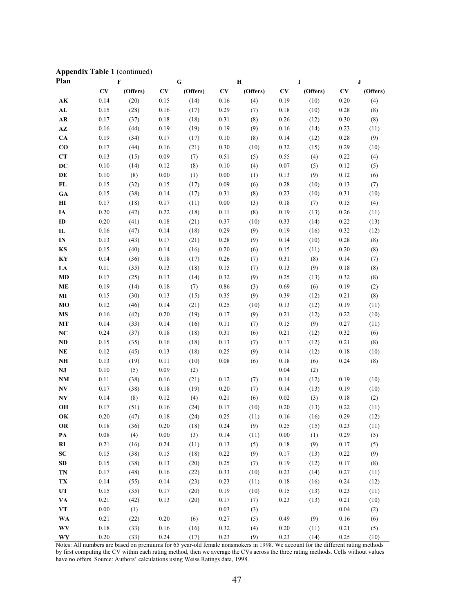|  |  |  | <b>Appendix Table 1 (continued)</b> |
|--|--|--|-------------------------------------|
|--|--|--|-------------------------------------|

| Plan                   | $\mathbf F$ |          | G        |          | Н    |          | I        |          | ${\bf J}$ |          |
|------------------------|-------------|----------|----------|----------|------|----------|----------|----------|-----------|----------|
|                        | CV          | (Offers) | CV       | (Offers) | CV   | (Offers) | CV       | (Offers) | CV        | (Offers) |
| $\mathbf{AK}$          | 0.14        | (20)     | 0.15     | (14)     | 0.16 | (4)      | 0.19     | (10)     | 0.20      | (4)      |
| AL                     | 0.15        | (28)     | 0.16     | (17)     | 0.29 | (7)      | $0.18\,$ | (10)     | 0.28      | (8)      |
| AR                     | 0.17        | (37)     | 0.18     | (18)     | 0.31 | (8)      | 0.26     | (12)     | 0.30      | (8)      |
| $\mathbf{A}\mathbf{Z}$ | 0.16        | (44)     | 0.19     | (19)     | 0.19 | (9)      | 0.16     | (14)     | 0.23      | (11)     |
| CA                     | 0.19        | (34)     | 0.17     | (17)     | 0.10 | (8)      | 0.14     | (12)     | 0.28      | (9)      |
| $\bf{CO}$              | 0.17        | (44)     | 0.16     | (21)     | 0.30 | (10)     | 0.32     | (15)     | 0.29      | (10)     |
| CT                     | 0.13        | (15)     | 0.09     | (7)      | 0.51 | (5)      | 0.55     | (4)      | 0.22      | (4)      |
| DC                     | 0.10        | (14)     | 0.12     | (8)      | 0.10 | (4)      | 0.07     | (5)      | 0.12      | (5)      |
| DE                     | 0.10        | (8)      | 0.00     | (1)      | 0.00 | (1)      | 0.13     | (9)      | 0.12      | (6)      |
| FL                     | 0.15        | (32)     | 0.15     | (17)     | 0.09 | (6)      | 0.28     | (10)     | 0.13      | (7)      |
| <b>GA</b>              | 0.15        | (38)     | 0.14     | (17)     | 0.31 | (8)      | 0.23     | (10)     | 0.31      | (10)     |
| H I                    | 0.17        | (18)     | 0.17     | (11)     | 0.00 | (3)      | 0.18     | (7)      | 0.15      | (4)      |
| IA                     | 0.20        | (42)     | 0.22     | (18)     | 0.11 | (8)      | 0.19     | (13)     | 0.26      | (11)     |
| ID                     | 0.20        | (41)     | 0.18     | (21)     | 0.37 | (10)     | 0.33     | (14)     | 0.22      | (13)     |
| IL                     | 0.16        | (47)     | 0.14     | (18)     | 0.29 | (9)      | 0.19     | (16)     | 0.32      | (12)     |
| $\mathbf{IN}$          | 0.13        | (43)     | 0.17     | (21)     | 0.28 | (9)      | 0.14     | (10)     | 0.28      | (8)      |
| KS                     | 0.15        | (40)     | 0.14     | (16)     | 0.20 | (6)      | 0.15     | (11)     | 0.20      | (8)      |
| KY                     | 0.14        | (36)     | 0.18     | (17)     | 0.26 | (7)      | 0.31     | (8)      | 0.14      | (7)      |
| LA                     | 0.11        | (35)     | 0.13     | (18)     | 0.15 | (7)      | 0.13     | (9)      | 0.18      | (8)      |
| MD                     | 0.17        | (25)     | 0.13     | (14)     | 0.32 | (9)      | 0.25     | (13)     | 0.32      | (8)      |
| <b>ME</b>              | 0.19        | (14)     | 0.18     | (7)      | 0.86 | (3)      | 0.69     | (6)      | 0.19      | (2)      |
| $\bf MI$               | 0.15        | (30)     | 0.13     | (15)     | 0.35 | (9)      | 0.39     | (12)     | 0.21      | (8)      |
| MO                     | 0.12        | (46)     | 0.14     | (21)     | 0.25 | (10)     | 0.13     | (12)     | 0.19      | (11)     |
| <b>MS</b>              | 0.16        | (42)     | 0.20     | (19)     | 0.17 | (9)      | 0.21     | (12)     | 0.22      | (10)     |
| MT                     | 0.14        | (33)     | 0.14     | (16)     | 0.11 | (7)      | 0.15     | (9)      | 0.27      | (11)     |
| NC                     | 0.24        | (37)     | 0.18     | (18)     | 0.31 | (6)      | 0.21     | (12)     | 0.32      | (6)      |
| $\bf ND$               | 0.15        | (35)     | 0.16     | (18)     | 0.13 | (7)      | 0.17     | (12)     | 0.21      | (8)      |
| $\bf NE$               | 0.12        | (45)     | 0.13     | (18)     | 0.25 | (9)      | 0.14     | (12)     | 0.18      | (10)     |
| NH                     | 0.13        | (19)     | 0.11     | (10)     | 0.08 | (6)      | 0.18     | (6)      | 0.24      | (8)      |
| NJ                     | 0.10        | (5)      | 0.09     | (2)      |      |          | 0.04     | (2)      |           |          |
| NM                     | 0.11        | (38)     | 0.16     | (21)     | 0.12 | (7)      | 0.14     | (12)     | 0.19      | (10)     |
| NV                     | 0.17        | (38)     | 0.18     | (19)     | 0.20 | (7)      | 0.14     | (13)     | 0.19      | (10)     |
| $\mathbf{N}\mathbf{Y}$ | 0.14        | (8)      | 0.12     | (4)      | 0.21 | (6)      | 0.02     | (3)      | 0.18      | (2)      |
| OH                     | 0.17        | (51)     | 0.16     | (24)     | 0.17 | (10)     | 0.20     | (13)     | 0.22      | (11)     |
| OK                     | 0.20        | (47)     | 0.18     | (24)     | 0.25 | (11)     | 0.16     | (16)     | 0.29      | (12)     |
| <b>OR</b>              | $0.18\,$    | (36)     | $0.20\,$ | (18)     | 0.24 | (9)      | 0.25     | (15)     | 0.23      | (11)     |
| PA                     | $0.08\,$    | (4)      | $0.00\,$ | (3)      | 0.14 | (11)     | 0.00     | (1)      | 0.29      | (5)      |
| RI                     | 0.21        | (16)     | 0.24     | (11)     | 0.13 | (5)      | $0.18\,$ | (9)      | 0.17      | (5)      |
| ${\bf SC}$             | 0.15        | (38)     | 0.15     | (18)     | 0.22 | (9)      | 0.17     | (13)     | 0.22      | (9)      |
| ${\bf SD}$             | 0.15        | (38)     | 0.13     | (20)     | 0.25 | (7)      | 0.19     | (12)     | 0.17      | (8)      |
| TN                     | 0.17        | (48)     | 0.16     | (22)     | 0.33 | (10)     | 0.23     | (14)     | 0.27      | (11)     |
| TX                     | 0.14        | (55)     | $0.14\,$ | (23)     | 0.23 | (11)     | $0.18\,$ | (16)     | 0.24      | (12)     |
| ${\bf UT}$             | 0.15        | (35)     | 0.17     | (20)     | 0.19 | (10)     | 0.15     | (13)     | 0.23      | (11)     |
| VA                     | 0.21        | (42)     | 0.13     | (20)     | 0.17 | (7)      | 0.23     | (13)     | 0.21      | (10)     |
| $\mathbf{VT}$          | $0.00\,$    | (1)      |          |          | 0.03 | (3)      |          |          | $0.04\,$  | (2)      |
| <b>WA</b>              | 0.21        | (22)     | 0.20     | (6)      | 0.27 | (5)      | 0.49     | (9)      | 0.16      | (6)      |
| <b>WV</b>              | 0.18        | (33)     | 0.16     | (16)     | 0.32 | (4)      | $0.20\,$ | (11)     | 0.21      | (5)      |
| WY                     | $0.20\,$    | (33)     | 0.24     | (17)     | 0.23 | (9)      | 0.23     | (14)     | 0.25      | (10)     |

Notes: All numbers are based on premiums for 65 year-old female nonsmokers in 1998. We account for the different rating methods by first computing the CV within each rating method, then we average the CVs across the three rating methods. Cells without values have no offers. Source: Authors' calculations using Weiss Ratings data, 1998.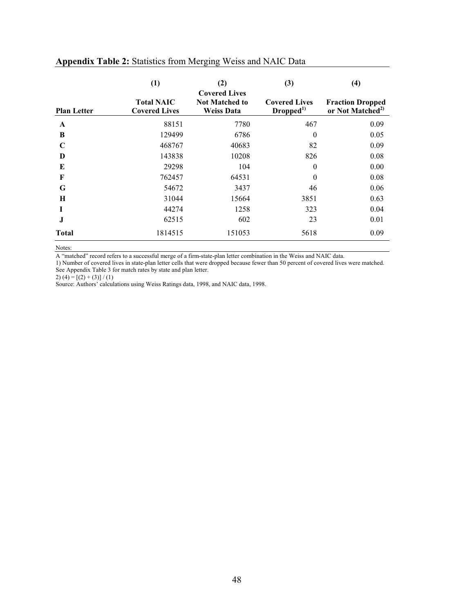|                    | (1)                                       | (2)<br><b>Covered Lives</b>                | (3)                                          | $\left(4\right)$                                        |  |  |
|--------------------|-------------------------------------------|--------------------------------------------|----------------------------------------------|---------------------------------------------------------|--|--|
| <b>Plan Letter</b> | <b>Total NAIC</b><br><b>Covered Lives</b> | <b>Not Matched to</b><br><b>Weiss Data</b> | <b>Covered Lives</b><br>Dropped <sup>1</sup> | <b>Fraction Dropped</b><br>or Not Matched <sup>2)</sup> |  |  |
| A                  | 88151                                     | 7780                                       | 467                                          | 0.09                                                    |  |  |
| B                  | 129499                                    | 6786                                       | $\theta$                                     | 0.05                                                    |  |  |
| C                  | 468767                                    | 40683                                      | 82                                           | 0.09                                                    |  |  |
| D                  | 143838                                    | 10208                                      | 826                                          | 0.08                                                    |  |  |
| E                  | 29298                                     | 104                                        | $\overline{0}$                               | 0.00                                                    |  |  |
| F                  | 762457                                    | 64531                                      | $\theta$                                     | 0.08                                                    |  |  |
| G                  | 54672                                     | 3437                                       | 46                                           | 0.06                                                    |  |  |
| H                  | 31044                                     | 15664                                      | 3851                                         | 0.63                                                    |  |  |
| I                  | 44274                                     | 1258                                       | 323                                          | 0.04                                                    |  |  |
| J                  | 62515                                     | 602                                        | 23                                           | 0.01                                                    |  |  |
| <b>Total</b>       | 1814515                                   | 151053                                     | 5618                                         | 0.09                                                    |  |  |

# **Appendix Table 2:** Statistics from Merging Weiss and NAIC Data

Notes:

A "matched" record refers to a successful merge of a firm-state-plan letter combination in the Weiss and NAIC data.

1) Number of covered lives in state-plan letter cells that were dropped because fewer than 50 percent of covered lives were matched. See Appendix Table 3 for match rates by state and plan letter.

2)  $(4) = [(2) + (3)] / (1)$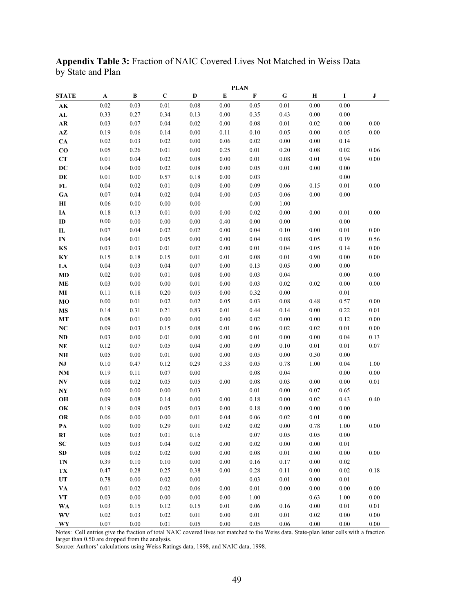**Appendix Table 3:** Fraction of NAIC Covered Lives Not Matched in Weiss Data by State and Plan

|                        | <b>PLAN</b> |          |             |          |          |          |           |          |          |          |
|------------------------|-------------|----------|-------------|----------|----------|----------|-----------|----------|----------|----------|
| <b>STATE</b>           | A           | В        | $\mathbf C$ | D        | E        | F        | ${\bf G}$ | Н        | 1        | J        |
| АK                     | 0.02        | 0.03     | 0.01        | 0.08     | 0.00     | 0.05     | 0.01      | 0.00     | 0.00     |          |
| AL                     | 0.33        | 0.27     | 0.34        | 0.13     | 0.00     | 0.35     | 0.43      | 0.00     | 0.00     |          |
| AR                     | 0.03        | 0.07     | 0.04        | 0.02     | 0.00     | 0.08     | 0.01      | 0.02     | 0.00     | 0.00     |
| $\mathbf{A}\mathbf{Z}$ | 0.19        | 0.06     | 0.14        | 0.00     | 0.11     | 0.10     | 0.05      | 0.00     | 0.05     | 0.00     |
| CA                     | 0.02        | 0.03     | 0.02        | 0.00     | 0.06     | 0.02     | $0.00\,$  | 0.00     | 0.14     |          |
| $\bf{CO}$              | 0.05        | 0.26     | 0.01        | 0.00     | 0.25     | 0.01     | 0.20      | 0.08     | 0.02     | 0.06     |
| CT                     | 0.01        | 0.04     | 0.02        | 0.08     | 0.00     | 0.01     | 0.08      | 0.01     | 0.94     | 0.00     |
| DC                     | 0.04        | 0.00     | 0.02        | 0.08     | 0.00     | 0.05     | 0.01      | 0.00     | 0.00     |          |
| DE                     | 0.01        | 0.00     | 0.57        | 0.18     | 0.00     | 0.03     |           |          | 0.00     |          |
| FL                     | 0.04        | 0.02     | 0.01        | 0.09     | 0.00     | 0.09     | 0.06      | 0.15     | 0.01     | 0.00     |
| <b>GA</b>              | 0.07        | 0.04     | 0.02        | 0.04     | 0.00     | 0.05     | 0.06      | 0.00     | 0.00     |          |
| $\mathbf{H}$           | 0.06        | 0.00     | 0.00        | 0.00     |          | 0.00     | 1.00      |          |          |          |
| IA                     | 0.18        | 0.13     | 0.01        | 0.00     | 0.00     | 0.02     | 0.00      | 0.00     | 0.01     | 0.00     |
| ID                     | 0.00        | 0.00     | 0.00        | 0.00     | 0.40     | 0.00     | 0.00      |          | 0.00     |          |
| $\mathbf{L}$           | 0.07        | 0.04     | 0.02        | 0.02     | 0.00     | 0.04     | 0.10      | 0.00     | 0.01     | 0.00     |
| IN                     | 0.04        | 0.01     | 0.05        | 0.00     | 0.00     | 0.04     | 0.08      | 0.05     | 0.19     | 0.56     |
| KS                     | 0.03        | 0.03     | 0.01        | $0.02\,$ | 0.00     | 0.01     | 0.04      | 0.05     | 0.14     | $0.00\,$ |
| KY                     | 0.15        | 0.18     | 0.15        | 0.01     | 0.01     | 0.08     | 0.01      | 0.90     | 0.00     | $0.00\,$ |
| LA                     | 0.04        | 0.03     | 0.04        | 0.07     | 0.00     | 0.13     | 0.05      | 0.00     | 0.00     |          |
| MD                     | 0.02        | 0.00     | 0.01        | 0.08     | 0.00     | 0.03     | 0.04      |          | 0.00     | 0.00     |
| <b>ME</b>              | 0.03        | 0.00     | 0.00        | 0.01     | 0.00     | 0.03     | 0.02      | 0.02     | 0.00     | $0.00\,$ |
| MI                     | 0.11        | 0.18     | 0.20        | 0.05     | 0.00     | 0.32     | 0.00      |          | 0.01     |          |
| МO                     | 0.00        | 0.01     | 0.02        | 0.02     | 0.05     | 0.03     | 0.08      | 0.48     | 0.57     | 0.00     |
| <b>MS</b>              | 0.14        | 0.31     | 0.21        | 0.83     | 0.01     | 0.44     | 0.14      | 0.00     | 0.22     | $0.01\,$ |
| МT                     | 0.08        | 0.01     | 0.00        | 0.00     | 0.00     | 0.02     | 0.00      | 0.00     | 0.12     | 0.00     |
| NC                     | 0.09        | 0.03     | 0.15        | 0.08     | 0.01     | 0.06     | 0.02      | 0.02     | 0.01     | $0.00\,$ |
| $\bf ND$               | 0.03        | 0.00     | 0.01        | 0.00     | 0.00     | 0.01     | 0.00      | 0.00     | 0.04     | 0.13     |
| NE                     | 0.12        | 0.07     | 0.05        | 0.04     | 0.00     | 0.09     | 0.10      | 0.01     | 0.01     | 0.07     |
| NH                     | 0.05        | 0.00     | 0.01        | 0.00     | 0.00     | 0.05     | $0.00\,$  | 0.50     | 0.00     |          |
| NJ                     | 0.10        | 0.47     | 0.12        | 0.29     | 0.33     | 0.05     | 0.78      | 1.00     | 0.04     | 1.00     |
| NM                     | 0.19        | 0.11     | 0.07        | 0.00     |          | 0.08     | 0.04      |          | 0.00     | 0.00     |
| NV                     | 0.08        | 0.02     | 0.05        | 0.05     | 0.00     | 0.08     | 0.03      | 0.00     | 0.00     | $0.01\,$ |
| NY                     | 0.00        | 0.00     | 0.00        | 0.03     |          | 0.01     | 0.00      | 0.07     | 0.65     |          |
| OH                     | 0.09        | 0.08     | 0.14        | 0.00     | 0.00     | 0.18     | 0.00      | 0.02     | 0.43     | 0.40     |
| OK                     | 0.19        | 0.09     | 0.05        | 0.03     | 0.00     | 0.18     | 0.00      | 0.00     | 0.00     |          |
| <b>OR</b>              | $0.06\,$    | 0.00     | 0.00        | $0.01\,$ | 0.04     | 0.06     | 0.02      | $0.01\,$ | $0.00\,$ |          |
| РA                     | 0.00        | 0.00     | 0.29        | 0.01     | 0.02     | 0.02     | 0.00      | 0.78     | 1.00     | 0.00     |
| RI                     | 0.06        | 0.03     | 0.01        | 0.16     |          | 0.07     | 0.05      | 0.05     | 0.00     |          |
| <b>SC</b>              | $0.05\,$    | 0.03     | 0.04        | 0.02     | 0.00     | 0.02     | 0.00      | 0.00     | $0.01\,$ |          |
| <b>SD</b>              | $0.08\,$    | 0.02     | $0.02\,$    | $0.00\,$ | $0.00\,$ | $0.08\,$ | $0.01\,$  | $0.00\,$ | $0.00\,$ | 0.00     |
| TN                     | 0.39        | $0.10\,$ | $0.10\,$    | $0.00\,$ | 0.00     | 0.16     | 0.17      | 0.00     | 0.02     |          |
| TX                     | 0.47        | 0.28     | 0.25        | 0.38     | 0.00     | 0.28     | 0.11      | 0.00     | 0.02     | 0.18     |
| UT                     | 0.78        | 0.00     | 0.02        | 0.00     |          | 0.03     | 0.01      | 0.00     | 0.01     |          |
| VA                     | 0.01        | 0.02     | 0.02        | 0.06     | 0.00     | 0.01     | 0.00      | 0.00     | $0.00\,$ | 0.00     |
| VT                     | 0.03        | 0.00     | 0.00        | 0.00     | 0.00     | 1.00     |           | 0.63     | 1.00     | 0.00     |
| WA                     | 0.03        | 0.15     | 0.12        | 0.15     | $0.01\,$ | 0.06     | 0.16      | 0.00     | 0.01     | $0.01\,$ |
| <b>WV</b>              | $0.02\,$    | 0.03     | 0.02        | 0.01     | $0.00\,$ | 0.01     | $0.01\,$  | $0.02\,$ | $0.00\,$ | $0.00\,$ |
| WY                     | 0.07        | 0.00     | $0.01\,$    | 0.05     | 0.00     | 0.05     | 0.06      | 0.00     | 0.00     | 0.00     |

Notes: Cell entries give the fraction of total NAIC covered lives not matched to the Weiss data. State-plan letter cells with a fraction larger than 0.50 are dropped from the analysis.